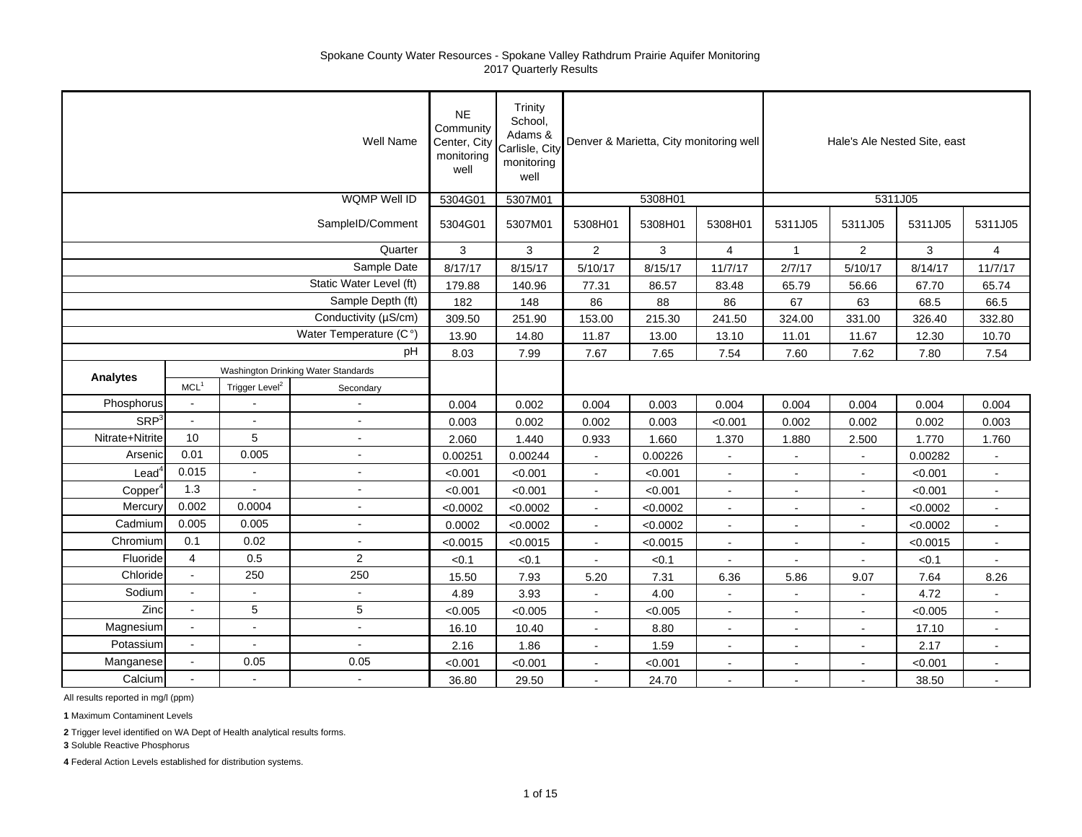|                     |                  |                            | Well Name                           | <b>NE</b><br>Community<br>Center, City<br>monitoring<br>well | Trinity<br>School,<br>Adams &<br>Carlisle, City<br>monitoring<br>well |                          | Denver & Marietta, City monitoring well |                       |                | Hale's Ale Nested Site, east |          |                |
|---------------------|------------------|----------------------------|-------------------------------------|--------------------------------------------------------------|-----------------------------------------------------------------------|--------------------------|-----------------------------------------|-----------------------|----------------|------------------------------|----------|----------------|
|                     |                  |                            | <b>WQMP Well ID</b>                 | 5304G01                                                      | 5307M01                                                               |                          | 5308H01                                 |                       |                | 5311J05                      |          |                |
|                     |                  |                            | SampleID/Comment                    | 5304G01                                                      | 5307M01                                                               | 5308H01                  | 5308H01                                 | 5308H01               | 5311J05        | 5311J05                      | 5311J05  | 5311J05        |
|                     |                  |                            | Quarter                             | 3                                                            | 3                                                                     | $\overline{2}$           | 3                                       | $\overline{4}$        | $\mathbf{1}$   | 2                            | 3        | $\overline{4}$ |
|                     |                  |                            | Sample Date                         | 8/17/17                                                      | 8/15/17                                                               | 5/10/17                  | 8/15/17                                 | 11/7/17               | 2/7/17         | 5/10/17                      | 8/14/17  | 11/7/17        |
|                     |                  |                            | Static Water Level (ft)             | 179.88                                                       | 140.96                                                                | 77.31                    | 86.57                                   | 83.48                 | 65.79          | 56.66                        | 67.70    | 65.74          |
|                     |                  |                            | Sample Depth (ft)                   | 182                                                          | 148                                                                   | 86                       | 88                                      | 86                    | 67             | 63                           | 68.5     | 66.5           |
|                     |                  |                            | Conductivity (µS/cm)                | 309.50                                                       | 251.90                                                                | 153.00                   | 215.30                                  | 241.50                | 324.00         | 331.00                       | 326.40   | 332.80         |
|                     |                  |                            | Water Temperature (C°)              | 13.90                                                        | 14.80                                                                 | 11.87                    | 13.00                                   | 13.10                 | 11.01          | 11.67                        | 12.30    | 10.70          |
|                     |                  |                            | pH                                  | 8.03                                                         | 7.99                                                                  | 7.67                     | 7.65                                    | 7.54                  | 7.60           | 7.62                         | 7.80     | 7.54           |
| <b>Analytes</b>     |                  |                            | Washington Drinking Water Standards |                                                              |                                                                       |                          |                                         |                       |                |                              |          |                |
|                     | MCL <sup>1</sup> | Trigger Level <sup>2</sup> | Secondary                           |                                                              |                                                                       |                          |                                         |                       |                |                              |          |                |
| Phosphorus          | $\blacksquare$   |                            | $\blacksquare$                      | 0.004                                                        | 0.002                                                                 | 0.004                    | 0.003                                   | 0.004                 | 0.004          | 0.004                        | 0.004    | 0.004          |
| SRP <sup>3</sup>    | $\blacksquare$   | $\blacksquare$             | $\blacksquare$                      | 0.003                                                        | 0.002                                                                 | 0.002                    | 0.003                                   | < 0.001               | 0.002          | 0.002                        | 0.002    | 0.003          |
| Nitrate+Nitrite     | 10               | 5                          | $\sim$                              | 2.060                                                        | 1.440                                                                 | 0.933                    | 1.660                                   | 1.370                 | 1.880          | 2.500                        | 1.770    | 1.760          |
| Arsenic             | 0.01             | 0.005                      | $\mathbf{r}$                        | 0.00251                                                      | 0.00244                                                               | $\blacksquare$           | 0.00226                                 | $\sim$                | $\sim$         | $\blacksquare$               | 0.00282  |                |
| $\text{Lead}^4$     | 0.015            | $\mathbf{r}$               | $\blacksquare$                      | < 0.001                                                      | < 0.001                                                               | $\sim$                   | < 0.001                                 | $\overline{a}$        |                | $\blacksquare$               | < 0.001  | $\sim$         |
| Copper <sup>4</sup> | 1.3              |                            | $\overline{a}$                      | < 0.001                                                      | < 0.001                                                               | $\sim$                   | < 0.001                                 | $\overline{a}$        |                |                              | < 0.001  | $\mathbf{r}$   |
| Mercury             | 0.002            | 0.0004                     | $\sim$                              | < 0.0002                                                     | < 0.0002                                                              | $\blacksquare$           | < 0.0002                                | $\sim$                | $\sim$         | $\blacksquare$               | < 0.0002 | $\blacksquare$ |
| Cadmium             | 0.005            | 0.005                      | $\blacksquare$                      | 0.0002                                                       | < 0.0002                                                              | $\sim$                   | < 0.0002                                | $\blacksquare$        | $\blacksquare$ | $\blacksquare$               | < 0.0002 | $\blacksquare$ |
| Chromium            | 0.1              | 0.02                       | ä,                                  | < 0.0015                                                     | < 0.0015                                                              | $\blacksquare$           | < 0.0015                                | ä,                    |                | ä,                           | < 0.0015 | $\blacksquare$ |
| Fluoride            | $\overline{4}$   | 0.5                        | $\overline{2}$                      | < 0.1                                                        | < 0.1                                                                 |                          | < 0.1                                   |                       |                |                              | < 0.1    |                |
| Chloride            | $\blacksquare$   | 250                        | 250                                 | 15.50                                                        | 7.93                                                                  | 5.20                     | 7.31                                    | 6.36                  | 5.86           | 9.07                         | 7.64     | 8.26           |
| Sodium              | $\mathbf{r}$     | $\sim$                     | $\mathbf{r}$                        | 4.89                                                         | 3.93                                                                  | $\sim$                   | 4.00                                    | ÷,                    |                |                              | 4.72     |                |
| Zinc                | $\sim$           | 5                          | 5                                   | < 0.005                                                      | < 0.005                                                               | $\sim$                   | < 0.005                                 | ÷,                    |                |                              | < 0.005  | $\mathbf{r}$   |
| Magnesium           |                  | $\mathbf{u}$               | $\blacksquare$                      | 16.10                                                        | 10.40                                                                 | $\sim$                   | 8.80                                    | $\blacksquare$        | $\sim$         | $\blacksquare$               | 17.10    | $\blacksquare$ |
| Potassium           | $\blacksquare$   | $\blacksquare$             | $\blacksquare$                      | 2.16                                                         | 1.86                                                                  | $\blacksquare$           | 1.59                                    | $\blacksquare$        |                |                              | 2.17     | $\blacksquare$ |
| Manganese           | $\sim$           | 0.05                       | 0.05                                | < 0.001                                                      | < 0.001                                                               | $\overline{\phantom{a}}$ | < 0.001                                 | $\tilde{\phantom{a}}$ |                |                              | < 0.001  | $\blacksquare$ |
| Calcium             |                  |                            | $\blacksquare$                      | 36.80                                                        | 29.50                                                                 | $\sim$                   | 24.70                                   | $\blacksquare$        |                | $\blacksquare$               | 38.50    |                |

All results reported in mg/l (ppm)

**1** Maximum Contaminent Levels

**2** Trigger level identified on WA Dept of Health analytical results forms.

**3** Soluble Reactive Phosphorus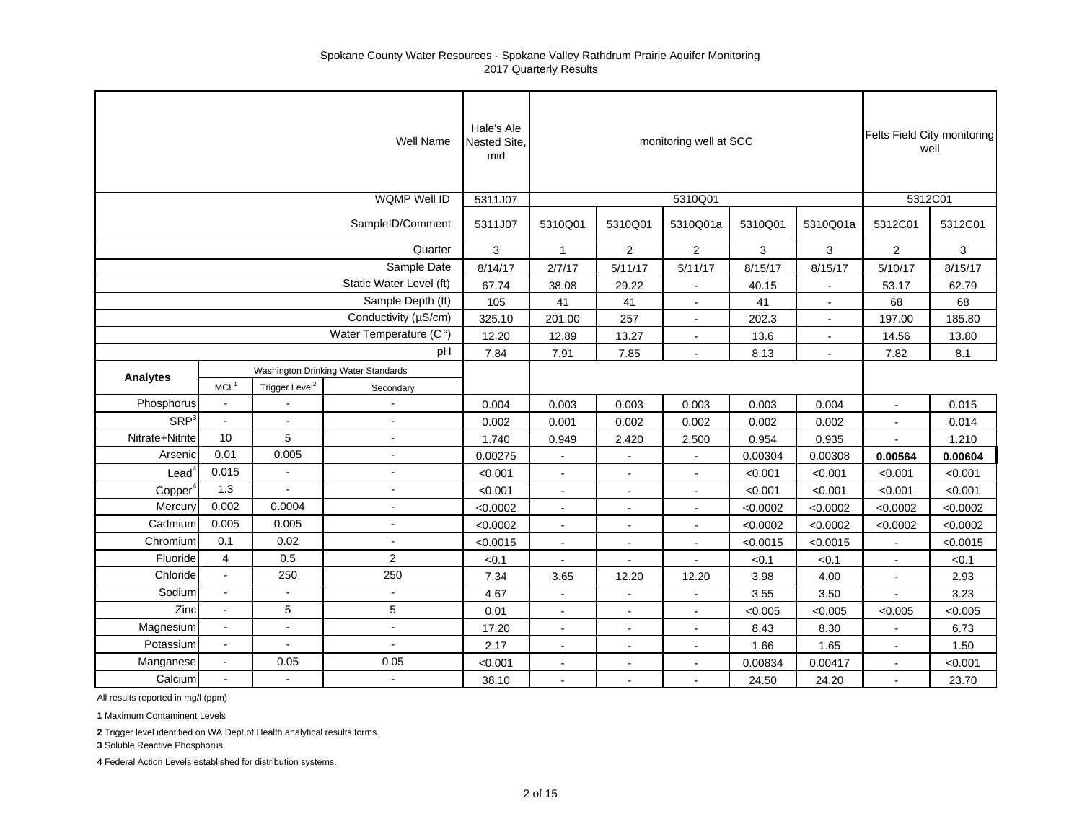|                     |                  |                            | Well Name                           | Hale's Ale<br>Nested Site,<br>mid |                          |                | monitoring well at SCC |          |                |                | Felts Field City monitoring<br>well |
|---------------------|------------------|----------------------------|-------------------------------------|-----------------------------------|--------------------------|----------------|------------------------|----------|----------------|----------------|-------------------------------------|
|                     |                  |                            | <b>WQMP Well ID</b>                 | 5311J07                           |                          |                | 5310Q01                |          |                | 5312C01        |                                     |
|                     |                  |                            | SampleID/Comment                    | 5311J07                           | 5310Q01                  | 5310Q01        | 5310Q01a               | 5310Q01  | 5310Q01a       | 5312C01        | 5312C01                             |
|                     |                  |                            | Quarter                             | 3                                 | $\mathbf{1}$             | $\overline{2}$ | $\overline{2}$         | 3        | 3              | $\overline{2}$ | 3                                   |
|                     |                  |                            | Sample Date                         | 8/14/17                           | 2/7/17                   | 5/11/17        | 5/11/17                | 8/15/17  | 8/15/17        | 5/10/17        | 8/15/17                             |
|                     |                  |                            | Static Water Level (ft)             | 67.74                             | 38.08                    | 29.22          | $\blacksquare$         | 40.15    | $\sim$         | 53.17          | 62.79                               |
|                     |                  |                            | Sample Depth (ft)                   | 105                               | 41                       | 41             | $\blacksquare$         | 41       | $\mathbf{r}$   | 68             | 68                                  |
|                     |                  |                            | Conductivity (µS/cm)                | 325.10                            | 201.00                   | 257            |                        | 202.3    | $\sim$         | 197.00         | 185.80                              |
|                     |                  |                            | Water Temperature (C°)              | 12.20                             | 12.89                    | 13.27          |                        | 13.6     |                | 14.56          | 13.80                               |
|                     |                  |                            | pH                                  | 7.84                              | 7.91                     | 7.85           | $\blacksquare$         | 8.13     | $\blacksquare$ | 7.82           | 8.1                                 |
|                     |                  |                            | Washington Drinking Water Standards |                                   |                          |                |                        |          |                |                |                                     |
| Analytes            | MCL <sup>1</sup> | Trigger Level <sup>2</sup> | Secondary                           |                                   |                          |                |                        |          |                |                |                                     |
| Phosphorus          |                  |                            |                                     | 0.004                             | 0.003                    | 0.003          | 0.003                  | 0.003    | 0.004          | $\blacksquare$ | 0.015                               |
| SRP <sup>3</sup>    | $\omega$         | $\blacksquare$             | ÷,                                  | 0.002                             | 0.001                    | 0.002          | 0.002                  | 0.002    | 0.002          | $\blacksquare$ | 0.014                               |
| Nitrate+Nitrite     | 10               | 5                          | $\overline{a}$                      | 1.740                             | 0.949                    | 2.420          | 2.500                  | 0.954    | 0.935          |                | 1.210                               |
| Arsenic             | 0.01             | 0.005                      |                                     | 0.00275                           | $\blacksquare$           |                |                        | 0.00304  | 0.00308        | 0.00564        | 0.00604                             |
| $\textsf{lead}^4$   | 0.015            | $\blacksquare$             | ÷,                                  | < 0.001                           | $\sim$                   | $\sim$         | $\blacksquare$         | < 0.001  | < 0.001        | < 0.001        | < 0.001                             |
| Copper <sup>4</sup> | 1.3              |                            | ÷                                   | < 0.001                           | $\blacksquare$           | $\blacksquare$ |                        | < 0.001  | < 0.001        | < 0.001        | < 0.001                             |
| Mercury             | 0.002            | 0.0004                     | $\overline{a}$                      | < 0.0002                          | $\blacksquare$           | $\blacksquare$ |                        | < 0.0002 | < 0.0002       | < 0.0002       | < 0.0002                            |
| Cadmium             | 0.005            | 0.005                      | $\blacksquare$                      | < 0.0002                          | $\blacksquare$           | $\blacksquare$ | $\blacksquare$         | < 0.0002 | < 0.0002       | < 0.0002       | < 0.0002                            |
| Chromium            | 0.1              | 0.02                       | $\blacksquare$                      | < 0.0015                          | $\sim$                   | $\blacksquare$ | $\blacksquare$         | < 0.0015 | < 0.0015       | $\blacksquare$ | < 0.0015                            |
| Fluoride            | $\overline{4}$   | 0.5                        | $\overline{2}$                      | < 0.1                             | $\overline{a}$           |                |                        | < 0.1    | < 0.1          | $\mathbf{r}$   | < 0.1                               |
| Chloride            | $\mathbf{r}$     | 250                        | 250                                 | 7.34                              | 3.65                     | 12.20          | 12.20                  | 3.98     | 4.00           | $\blacksquare$ | 2.93                                |
| Sodium              | $\sim$           |                            | $\blacksquare$                      | 4.67                              | $\blacksquare$           | $\sim$         |                        | 3.55     | 3.50           |                | 3.23                                |
| Zinc                | $\overline{a}$   | 5                          | 5                                   | 0.01                              |                          | $\blacksquare$ |                        | < 0.005  | < 0.005        | < 0.005        | < 0.005                             |
| Magnesium           |                  | $\overline{a}$             | $\overline{a}$                      | 17.20                             | $\overline{\phantom{a}}$ | $\blacksquare$ | $\blacksquare$         | 8.43     | 8.30           |                | 6.73                                |
| Potassium           | $\omega$         | $\blacksquare$             | $\blacksquare$                      | 2.17                              | $\blacksquare$           | $\blacksquare$ | $\blacksquare$         | 1.66     | 1.65           | $\blacksquare$ | 1.50                                |
| Manganese           | $\omega$         | 0.05                       | 0.05                                | < 0.001                           | ä,                       | $\blacksquare$ |                        | 0.00834  | 0.00417        | $\blacksquare$ | < 0.001                             |
| Calcium             | $\sim$           | $\overline{a}$             | $\overline{a}$                      | 38.10                             |                          |                |                        | 24.50    | 24.20          |                | 23.70                               |

All results reported in mg/l (ppm)

**1** Maximum Contaminent Levels

**2** Trigger level identified on WA Dept of Health analytical results forms.

**3** Soluble Reactive Phosphorus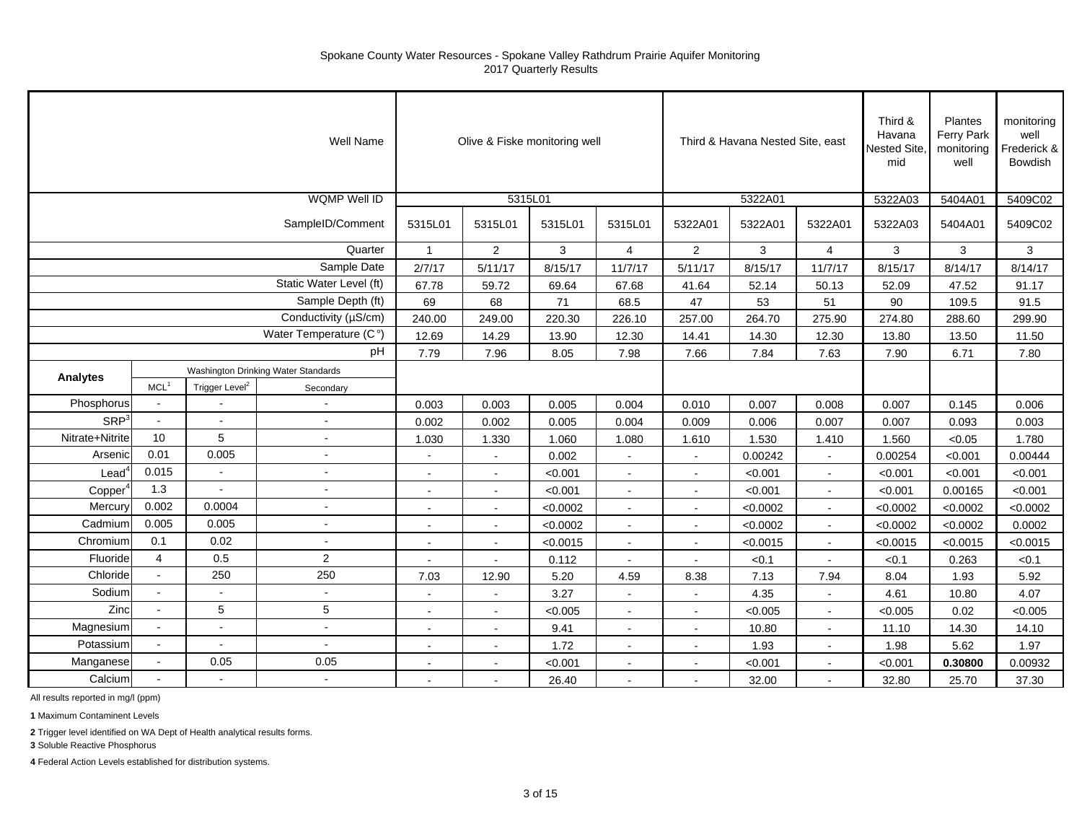|                     |                                     |                            | <b>Well Name</b>         |              |                | Olive & Fiske monitoring well |                |                | Third & Havana Nested Site, east |                | Third &<br>Havana<br>Nested Site,<br>mid | Plantes<br>Ferry Park<br>monitoring<br>well | monitoring<br>well<br>Frederick &<br><b>Bowdish</b> |
|---------------------|-------------------------------------|----------------------------|--------------------------|--------------|----------------|-------------------------------|----------------|----------------|----------------------------------|----------------|------------------------------------------|---------------------------------------------|-----------------------------------------------------|
|                     |                                     |                            | <b>WQMP Well ID</b>      |              | 5315L01        |                               |                |                | 5322A01                          |                | 5322A03                                  | 5404A01                                     | 5409C02                                             |
|                     |                                     |                            | SampleID/Comment         | 5315L01      | 5315L01        | 5315L01                       | 5315L01        | 5322A01        | 5322A01                          | 5322A01        | 5322A03                                  | 5404A01                                     | 5409C02                                             |
|                     |                                     |                            | Quarter                  | $\mathbf{1}$ | $\overline{2}$ | 3                             | $\overline{4}$ | $\overline{2}$ | 3                                | $\overline{4}$ | 3                                        | 3                                           | 3                                                   |
|                     |                                     |                            | Sample Date              | 2/7/17       | 5/11/17        | 8/15/17                       | 11/7/17        | 5/11/17        | 8/15/17                          | 11/7/17        | 8/15/17                                  | 8/14/17                                     | 8/14/17                                             |
|                     |                                     |                            | Static Water Level (ft)  | 67.78        | 59.72          | 69.64                         | 67.68          | 41.64          | 52.14                            | 50.13          | 52.09                                    | 47.52                                       | 91.17                                               |
|                     |                                     |                            | Sample Depth (ft)        | 69           | 68             | 71                            | 68.5           | 47             | 53                               | 51             | 90                                       | 109.5                                       | 91.5                                                |
|                     |                                     |                            | Conductivity (µS/cm)     | 240.00       | 249.00         | 220.30                        | 226.10         | 257.00         | 264.70                           | 275.90         | 274.80                                   | 288.60                                      | 299.90                                              |
|                     |                                     |                            | Water Temperature (C°)   | 12.69        | 14.29          | 13.90                         | 12.30          | 14.41          | 14.30                            | 12.30          | 13.80                                    | 13.50                                       | 11.50                                               |
|                     |                                     |                            | pH                       | 7.79         | 7.96           | 8.05                          | 7.98           | 7.66           | 7.84                             | 7.63           | 7.90                                     | 6.71                                        | 7.80                                                |
| Analytes            | Washington Drinking Water Standards |                            |                          |              |                |                               |                |                |                                  |                |                                          |                                             |                                                     |
|                     | MCL <sup>1</sup>                    | Trigger Level <sup>2</sup> | Secondary                |              |                |                               |                |                |                                  |                |                                          |                                             |                                                     |
| Phosphorus          | $\sim$                              |                            | $\overline{a}$           | 0.003        | 0.003          | 0.005                         | 0.004          | 0.010          | 0.007                            | 0.008          | 0.007                                    | 0.145                                       | 0.006                                               |
| SRP <sup>3</sup>    | $\blacksquare$                      |                            | ÷,                       | 0.002        | 0.002          | 0.005                         | 0.004          | 0.009          | 0.006                            | 0.007          | 0.007                                    | 0.093                                       | 0.003                                               |
| Nitrate+Nitrite     | 10                                  | 5                          | $\overline{\phantom{a}}$ | 1.030        | 1.330          | 1.060                         | 1.080          | 1.610          | 1.530                            | 1.410          | 1.560                                    | <0.05                                       | 1.780                                               |
| Arsenic             | 0.01                                | 0.005                      | $\tilde{\phantom{a}}$    | $\sim$       | $\mathbf{r}$   | 0.002                         | $\mathbf{r}$   | $\blacksquare$ | 0.00242                          | $\sim$         | 0.00254                                  | < 0.001                                     | 0.00444                                             |
| $\textsf{lead}^c$   | 0.015                               | $\mathbf{r}$               | ÷,                       |              | ÷              | < 0.001                       | $\sim$         | $\sim$         | < 0.001                          | $\sim$         | < 0.001                                  | < 0.001                                     | < 0.001                                             |
| Copper <sup>2</sup> | 1.3                                 |                            | $\blacksquare$           |              | $\blacksquare$ | < 0.001                       | $\blacksquare$ | $\blacksquare$ | < 0.001                          |                | < 0.001                                  | 0.00165                                     | < 0.001                                             |
| Mercury             | 0.002                               | 0.0004                     | $\sim$                   | $\sim$       | $\sim$         | < 0.0002                      | $\sim$         | $\blacksquare$ | < 0.0002                         | $\sim$         | < 0.0002                                 | < 0.0002                                    | < 0.0002                                            |
| Cadmium             | 0.005                               | 0.005                      | $\sim$                   |              |                | < 0.0002                      |                | $\blacksquare$ | < 0.0002                         |                | < 0.0002                                 | < 0.0002                                    | 0.0002                                              |
| Chromium            | 0.1                                 | 0.02                       | $\sim$                   |              |                | < 0.0015                      |                | $\blacksquare$ | < 0.0015                         |                | < 0.0015                                 | < 0.0015                                    | < 0.0015                                            |
| Fluoride            | $\overline{4}$                      | 0.5                        | $\overline{2}$           | $\sim$       | $\blacksquare$ | 0.112                         | $\sim$         | $\bullet$      | < 0.1                            | $\sim$         | < 0.1                                    | 0.263                                       | < 0.1                                               |
| Chloride            | $\sim$                              | 250                        | 250                      | 7.03         | 12.90          | 5.20                          | 4.59           | 8.38           | 7.13                             | 7.94           | 8.04                                     | 1.93                                        | 5.92                                                |
| Sodium              | $\sim$                              | $\mathbf{r}$               | $\sim$                   | $\sim$       | $\blacksquare$ | 3.27                          | $\sim$         | $\blacksquare$ | 4.35                             | $\sim$         | 4.61                                     | 10.80                                       | 4.07                                                |
| Zinc                | $\sim$                              | 5                          | 5                        | $\sim$       | $\blacksquare$ | < 0.005                       | $\sim$         | $\blacksquare$ | < 0.005                          |                | < 0.005                                  | 0.02                                        | < 0.005                                             |
| Magnesium           | $\mathbf{u}$                        |                            | $\sim$                   | $\sim$       | $\sim$         | 9.41                          | $\overline{a}$ | $\sim$         | 10.80                            |                | 11.10                                    | 14.30                                       | 14.10                                               |
| Potassium           | $\sim$                              |                            | $\overline{a}$           |              |                | 1.72                          |                | $\blacksquare$ | 1.93                             |                | 1.98                                     | 5.62                                        | 1.97                                                |
| Manganese           |                                     | 0.05                       | 0.05                     |              |                | < 0.001                       |                | ۰              | < 0.001                          |                | < 0.001                                  | 0.30800                                     | 0.00932                                             |
| Calcium             |                                     |                            | $\bullet$                | $\sim$       | $\blacksquare$ | 26.40                         | $\sim$         | $\blacksquare$ | 32.00                            | $\sim$         | 32.80                                    | 25.70                                       | 37.30                                               |

All results reported in mg/l (ppm)

**1** Maximum Contaminent Levels

**2** Trigger level identified on WA Dept of Health analytical results forms.

**3** Soluble Reactive Phosphorus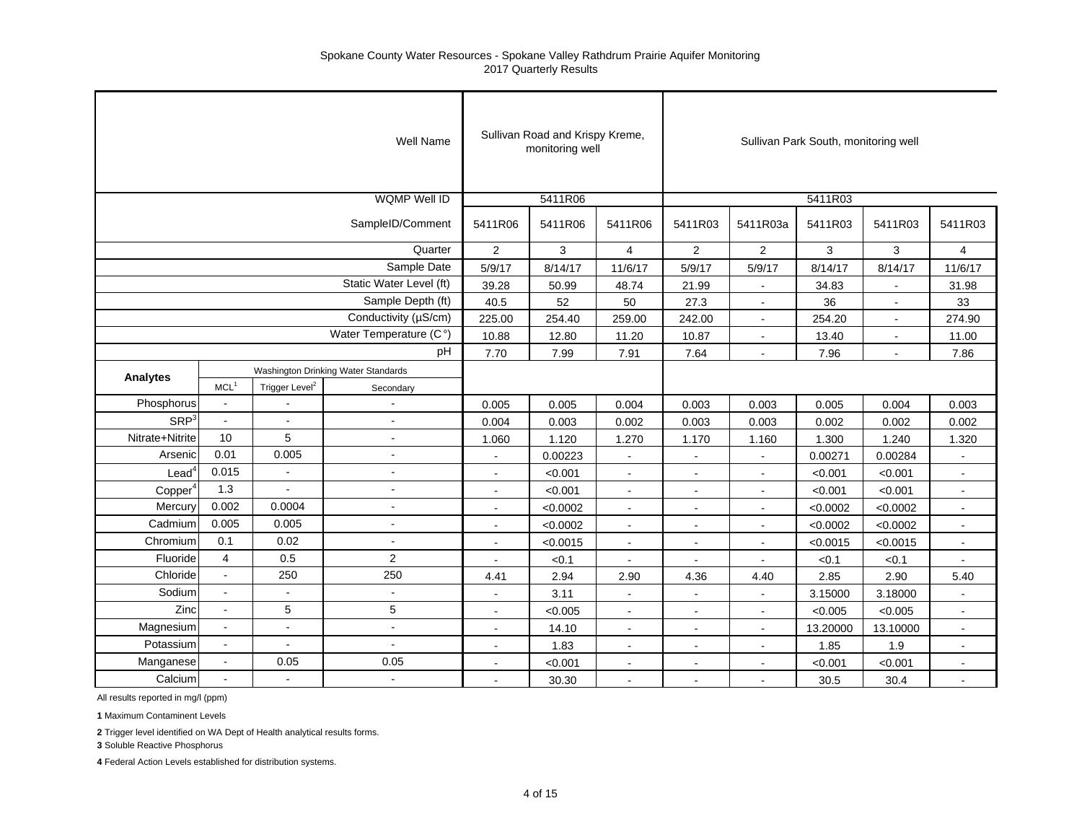|                     |                  |                            | <b>Well Name</b>                    |                          | Sullivan Road and Krispy Kreme,<br>monitoring well |                      |                          |                          | Sullivan Park South, monitoring well |                |                |
|---------------------|------------------|----------------------------|-------------------------------------|--------------------------|----------------------------------------------------|----------------------|--------------------------|--------------------------|--------------------------------------|----------------|----------------|
|                     |                  |                            | <b>WQMP Well ID</b>                 |                          | 5411R06                                            |                      |                          |                          | 5411R03                              |                |                |
|                     |                  |                            | SampleID/Comment                    | 5411R06                  | 5411R06                                            | 5411R06              | 5411R03                  | 5411R03a                 | 5411R03                              | 5411R03        | 5411R03        |
|                     |                  |                            | Quarter                             | 2                        | 3                                                  | $\overline{4}$       | $\overline{2}$           | 2                        | 3                                    | 3              | $\overline{4}$ |
|                     |                  |                            | Sample Date                         | 5/9/17                   | 8/14/17                                            | 11/6/17              | 5/9/17                   | 5/9/17                   | 8/14/17                              | 8/14/17        | 11/6/17        |
|                     |                  |                            | Static Water Level (ft)             | 39.28                    | 50.99                                              | 48.74                | 21.99                    | $\blacksquare$           | 34.83                                |                | 31.98          |
|                     |                  |                            | Sample Depth (ft)                   | 40.5                     | 52                                                 | 50                   | 27.3                     | $\blacksquare$           | 36                                   | $\sim$         | 33             |
|                     |                  |                            | Conductivity (µS/cm)                | 225.00                   | 254.40                                             | 259.00               | 242.00                   | $\blacksquare$           | 254.20                               | $\blacksquare$ | 274.90         |
|                     |                  |                            | Water Temperature (C°)              | 10.88                    | 12.80                                              | 11.20                | 10.87                    | $\blacksquare$           | 13.40                                | $\blacksquare$ | 11.00          |
|                     |                  |                            | pH                                  | 7.70                     | 7.99                                               | 7.91                 | 7.64                     | $\overline{a}$           | 7.96                                 |                | 7.86           |
|                     |                  |                            | Washington Drinking Water Standards |                          |                                                    |                      |                          |                          |                                      |                |                |
| <b>Analytes</b>     | MCL <sup>1</sup> | Trigger Level <sup>2</sup> | Secondary                           |                          |                                                    |                      |                          |                          |                                      |                |                |
| Phosphorus          |                  |                            |                                     | 0.005                    | 0.005                                              | 0.004                | 0.003                    | 0.003                    | 0.005                                | 0.004          | 0.003          |
| SRP <sup>3</sup>    | $\sim$           |                            |                                     | 0.004                    | 0.003                                              | 0.002                | 0.003                    | 0.003                    | 0.002                                | 0.002          | 0.002          |
| Nitrate+Nitrite     | 10               | 5                          | $\blacksquare$                      | 1.060                    | 1.120                                              | 1.270                | 1.170                    | 1.160                    | 1.300                                | 1.240          | 1.320          |
| Arsenic             | 0.01             | 0.005                      | $\sim$                              | $\sim$                   | 0.00223                                            | $\overline{a}$       |                          | $\mathbf{r}$             | 0.00271                              | 0.00284        |                |
| Lead <sup>4</sup>   | 0.015            | $\sim$                     | $\overline{\phantom{a}}$            | $\blacksquare$           | < 0.001                                            | $\blacksquare$       |                          | $\blacksquare$           | < 0.001                              | < 0.001        |                |
| Copper <sup>4</sup> | 1.3              | $\tilde{\phantom{a}}$      | $\blacksquare$                      | $\sim$                   | < 0.001                                            | $\blacksquare$       | $\blacksquare$           | $\blacksquare$           | < 0.001                              | < 0.001        | $\sim$         |
| Mercury             | 0.002            | 0.0004                     | $\sim$                              |                          | < 0.0002                                           | ä,                   | $\blacksquare$           | $\overline{\phantom{a}}$ | < 0.0002                             | < 0.0002       |                |
| Cadmium             | 0.005            | 0.005                      | ä,                                  | $\blacksquare$           | < 0.0002                                           | $\blacksquare$       | $\overline{\phantom{a}}$ | $\sim$                   | < 0.0002                             | < 0.0002       |                |
| Chromium            | 0.1              | 0.02                       | $\mathbf{r}$                        | $\blacksquare$           | < 0.0015                                           | $\blacksquare$       | $\blacksquare$           | $\sim$                   | < 0.0015                             | < 0.0015       | $\sim$         |
| Fluoride            | $\overline{4}$   | 0.5                        | $\overline{2}$                      | $\overline{\phantom{a}}$ | < 0.1                                              | $\ddot{\phantom{a}}$ | $\sim$                   | $\blacksquare$           | < 0.1                                | < 0.1          | $\sim$         |
| Chloride            | $\mathbf{r}$     | 250                        | 250                                 | 4.41                     | 2.94                                               | 2.90                 | 4.36                     | 4.40                     | 2.85                                 | 2.90           | 5.40           |
| Sodium              | $\sim$           | $\tilde{\phantom{a}}$      | $\mathbf{r}$                        | $\sim$                   | 3.11                                               | $\sim$               | $\sim$                   | $\omega$                 | 3.15000                              | 3.18000        |                |
| Zinc                | $\sim$           | 5                          | 5                                   | L,                       | < 0.005                                            | $\blacksquare$       |                          | $\sim$                   | < 0.005                              | < 0.005        |                |
| Magnesium           | $\sim$           | $\sim$                     | ä,                                  |                          | 14.10                                              | $\blacksquare$       |                          | $\tilde{\phantom{a}}$    | 13.20000                             | 13.10000       |                |
| Potassium           | $\sim$           | $\blacksquare$             | $\blacksquare$                      | $\blacksquare$           | 1.83                                               | $\blacksquare$       | $\blacksquare$           | $\blacksquare$           | 1.85                                 | 1.9            | $\blacksquare$ |
| Manganese           | $\blacksquare$   | 0.05                       | 0.05                                | $\sim$                   | < 0.001                                            | $\sim$               | $\sim$                   | $\sim$                   | < 0.001                              | < 0.001        | $\sim$         |
| Calcium             | $\mathbf{r}$     | $\sim$                     | $\omega$                            | $\mathbf{r}$             | 30.30                                              | $\sim$               | $\sim$                   | $\mathbf{r}$             | 30.5                                 | 30.4           | $\omega$       |

All results reported in mg/l (ppm)

**1** Maximum Contaminent Levels

**2** Trigger level identified on WA Dept of Health analytical results forms.

**3** Soluble Reactive Phosphorus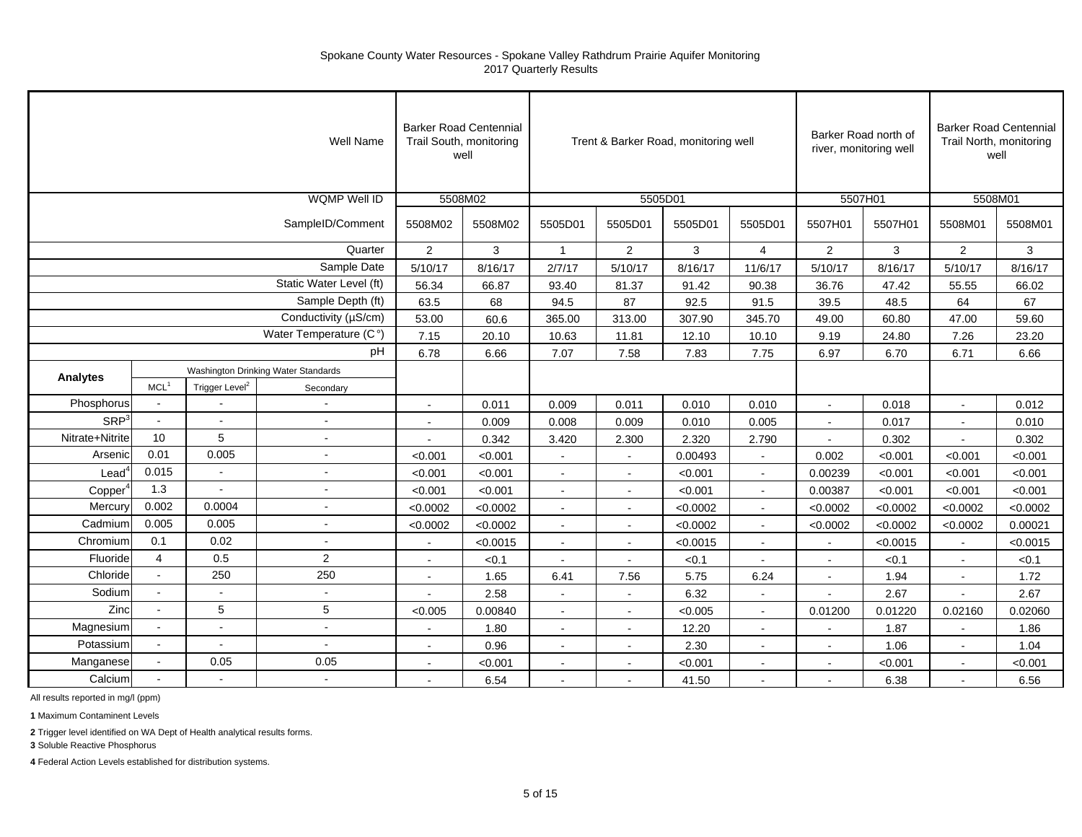|                          |                                                 |                            | <b>Well Name</b>        | <b>Barker Road Centennial</b><br>Trail South, monitoring | well     |                |                | Trent & Barker Road, monitoring well |                |                | Barker Road north of<br>river, monitoring well |                | <b>Barker Road Centennial</b><br>Trail North, monitoring<br>well |
|--------------------------|-------------------------------------------------|----------------------------|-------------------------|----------------------------------------------------------|----------|----------------|----------------|--------------------------------------|----------------|----------------|------------------------------------------------|----------------|------------------------------------------------------------------|
|                          |                                                 |                            | <b>WQMP Well ID</b>     |                                                          | 5508M02  |                |                | 5505D01                              |                | 5507H01        |                                                | 5508M01        |                                                                  |
|                          |                                                 |                            | SampleID/Comment        | 5508M02                                                  | 5508M02  | 5505D01        | 5505D01        | 5505D01                              | 5505D01        | 5507H01        | 5507H01                                        | 5508M01        | 5508M01                                                          |
|                          |                                                 |                            | Quarter                 | $\overline{2}$                                           | 3        | $\mathbf{1}$   | $\overline{2}$ | 3                                    | $\overline{4}$ | $\overline{2}$ | 3                                              | 2              | 3                                                                |
|                          |                                                 |                            | Sample Date             | 5/10/17                                                  | 8/16/17  | 2/7/17         | 5/10/17        | 8/16/17                              | 11/6/17        | 5/10/17        | 8/16/17                                        | 5/10/17        | 8/16/17                                                          |
|                          |                                                 |                            | Static Water Level (ft) | 56.34                                                    | 66.87    | 93.40          | 81.37          | 91.42                                | 90.38          | 36.76          | 47.42                                          | 55.55          | 66.02                                                            |
|                          |                                                 |                            | Sample Depth (ft)       | 63.5                                                     | 68       | 94.5           | 87             | 92.5                                 | 91.5           | 39.5           | 48.5                                           | 64             | 67                                                               |
|                          |                                                 |                            | Conductivity (µS/cm)    | 53.00                                                    | 60.6     | 365.00         | 313.00         | 307.90                               | 345.70         | 49.00          | 60.80                                          | 47.00          | 59.60                                                            |
|                          |                                                 |                            | Water Temperature (C°)  | 7.15                                                     | 20.10    | 10.63          | 11.81          | 12.10                                | 10.10          | 9.19           | 24.80                                          | 7.26           | 23.20                                                            |
|                          |                                                 |                            | pH                      | 6.78                                                     | 6.66     | 7.07           | 7.58           | 7.83                                 | 7.75           | 6.97           | 6.70                                           | 6.71           | 6.66                                                             |
|                          | Washington Drinking Water Standards<br>Analytes |                            |                         |                                                          |          |                |                |                                      |                |                |                                                |                |                                                                  |
|                          | MCL <sup>1</sup>                                | Trigger Level <sup>2</sup> | Secondary               |                                                          |          |                |                |                                      |                |                |                                                |                |                                                                  |
| Phosphorus               | $\omega$                                        |                            | $\blacksquare$          | $\sim$                                                   | 0.011    | 0.009          | 0.011          | 0.010                                | 0.010          | $\sim$         | 0.018                                          | $\sim$         | 0.012                                                            |
| SRP <sup>3</sup>         | $\bullet$                                       | $\mathbf{r}$               | $\sim$                  |                                                          | 0.009    | 0.008          | 0.009          | 0.010                                | 0.005          |                | 0.017                                          | $\blacksquare$ | 0.010                                                            |
| Nitrate+Nitrite          | 10                                              | 5                          |                         |                                                          | 0.342    | 3.420          | 2.300          | 2.320                                | 2.790          |                | 0.302                                          |                | 0.302                                                            |
| Arsenic                  | 0.01                                            | 0.005                      | $\sim$                  | < 0.001                                                  | < 0.001  | $\sim$         | $\sim$         | 0.00493                              | $\sim$         | 0.002          | < 0.001                                        | < 0.001        | < 0.001                                                          |
| $\text{Lead}^{\text{c}}$ | 0.015                                           |                            | $\sim$                  | < 0.001                                                  | < 0.001  | $\blacksquare$ |                | < 0.001                              |                | 0.00239        | < 0.001                                        | < 0.001        | < 0.001                                                          |
| Copper                   | 1.3                                             |                            | $\overline{a}$          | < 0.001                                                  | < 0.001  | $\sim$         |                | < 0.001                              |                | 0.00387        | < 0.001                                        | < 0.001        | < 0.001                                                          |
| Mercury                  | 0.002                                           | 0.0004                     | $\sim$                  | < 0.0002                                                 | < 0.0002 | $\sim$         | $\sim$         | < 0.0002                             | $\sim$         | < 0.0002       | < 0.0002                                       | < 0.0002       | < 0.0002                                                         |
| Cadmium                  | 0.005                                           | 0.005                      | $\sim$                  | < 0.0002                                                 | < 0.0002 | $\sim$         | $\sim$         | < 0.0002                             | $\sim$         | < 0.0002       | < 0.0002                                       | < 0.0002       | 0.00021                                                          |
| Chromium                 | 0.1                                             | 0.02                       | $\overline{a}$          |                                                          | < 0.0015 | $\sim$         | $\sim$         | < 0.0015                             |                |                | < 0.0015                                       |                | < 0.0015                                                         |
| Fluoride                 | $\overline{4}$                                  | 0.5                        | $\overline{2}$          | $\sim$                                                   | < 0.1    | $\sim$         | $\sim$         | < 0.1                                | $\sim$         |                | < 0.1                                          | $\sim$         | < 0.1                                                            |
| Chloride                 | $\sim$                                          | 250                        | 250                     |                                                          | 1.65     | 6.41           | 7.56           | 5.75                                 | 6.24           |                | 1.94                                           |                | 1.72                                                             |
| Sodium                   |                                                 |                            |                         |                                                          | 2.58     |                |                | 6.32                                 | $\blacksquare$ |                | 2.67                                           |                | 2.67                                                             |
| Zinc                     | $\blacksquare$                                  | 5                          | $5\phantom{.0}$         | < 0.005                                                  | 0.00840  | $\sim$         | $\sim$         | < 0.005                              | $\sim$         | 0.01200        | 0.01220                                        | 0.02160        | 0.02060                                                          |
| Magnesium                | $\mathbf{r}$                                    | $\sim$                     | $\mathbf{r}$            |                                                          | 1.80     | $\blacksquare$ | $\sim$         | 12.20                                | $\blacksquare$ |                | 1.87                                           |                | 1.86                                                             |
| Potassium                | $\mathbf{r}$                                    |                            | $\overline{a}$          |                                                          | 0.96     |                |                | 2.30                                 |                |                | 1.06                                           |                | 1.04                                                             |
| Manganese                | $\mathbf{r}$                                    | 0.05                       | 0.05                    |                                                          | < 0.001  | $\blacksquare$ | $\sim$         | < 0.001                              | $\sim$         |                | < 0.001                                        | $\blacksquare$ | < 0.001                                                          |
| Calcium                  |                                                 | $\sim$                     | $\sim$                  |                                                          | 6.54     | $\sim$         |                | 41.50                                | $\sim$         |                | 6.38                                           |                | 6.56                                                             |

All results reported in mg/l (ppm)

**1** Maximum Contaminent Levels

**2** Trigger level identified on WA Dept of Health analytical results forms.

**3** Soluble Reactive Phosphorus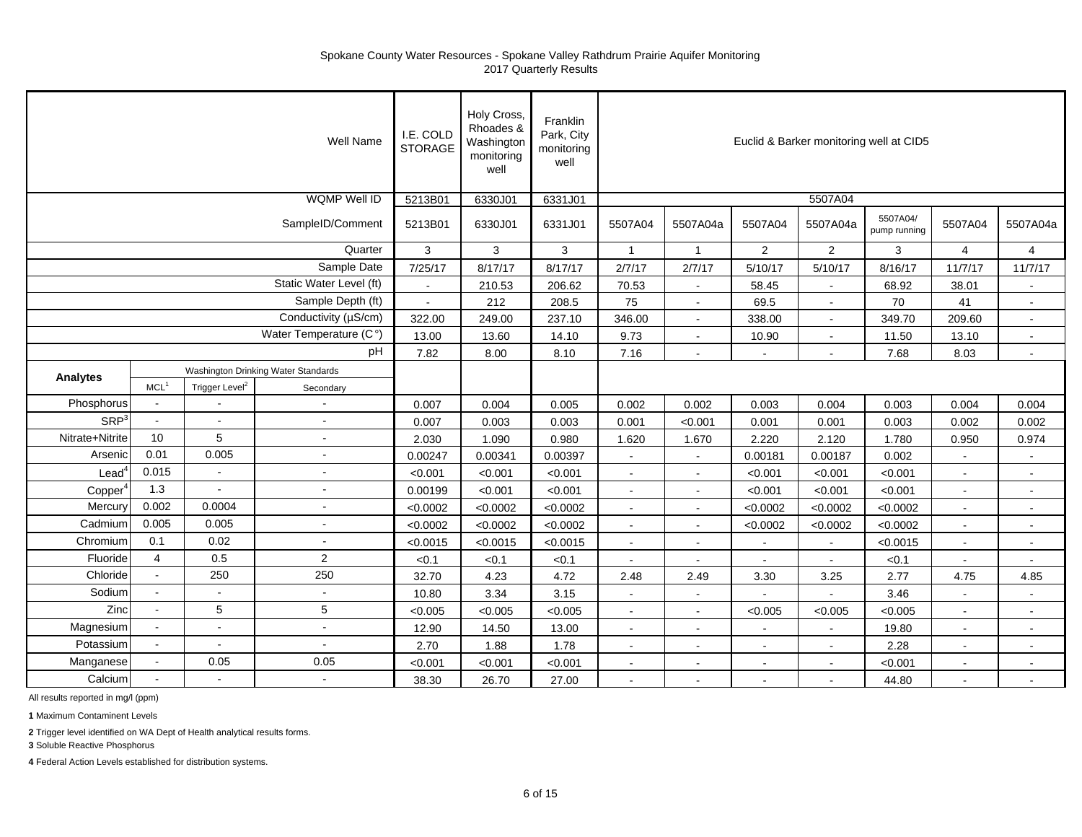|                     |                  |                            | Well Name                           | I.E. COLD<br><b>STORAGE</b> | Holy Cross,<br>Rhoades &<br>Washington<br>monitoring<br>well | Franklin<br>Park, City<br>monitoring<br>well |                          |                |                |                | Euclid & Barker monitoring well at CID5 |                          |                |
|---------------------|------------------|----------------------------|-------------------------------------|-----------------------------|--------------------------------------------------------------|----------------------------------------------|--------------------------|----------------|----------------|----------------|-----------------------------------------|--------------------------|----------------|
|                     |                  |                            | <b>WQMP Well ID</b>                 | 5213B01                     | 6330J01                                                      | 6331J01                                      |                          |                |                | 5507A04        |                                         |                          |                |
|                     |                  |                            | SampleID/Comment                    | 5213B01                     | 6330J01                                                      | 6331J01                                      | 5507A04                  | 5507A04a       | 5507A04        | 5507A04a       | 5507A04/<br>pump running                | 5507A04                  | 5507A04a       |
|                     |                  |                            | Quarter                             | 3                           | 3                                                            | 3                                            | $\mathbf{1}$             | $\mathbf{1}$   | $\overline{2}$ | $\overline{2}$ | 3                                       | $\overline{4}$           | $\overline{4}$ |
|                     |                  |                            | Sample Date                         | 7/25/17                     | 8/17/17                                                      | 8/17/17                                      | 2/7/17                   | 2/7/17         | 5/10/17        | 5/10/17        | 8/16/17                                 | 11/7/17                  | 11/7/17        |
|                     |                  |                            | Static Water Level (ft)             | $\mathcal{L}_{\mathcal{A}}$ | 210.53                                                       | 206.62                                       | 70.53                    | $\blacksquare$ | 58.45          | $\blacksquare$ | 68.92                                   | 38.01                    | $\sim$         |
|                     |                  |                            | Sample Depth (ft)                   | $\sim$                      | 212                                                          | 208.5                                        | 75                       | $\sim$         | 69.5           |                | 70                                      | 41                       | $\blacksquare$ |
|                     |                  |                            | Conductivity (µS/cm)                | 322.00                      | 249.00                                                       | 237.10                                       | 346.00                   | $\mathbf{r}$   | 338.00         |                | 349.70                                  | 209.60                   | $\mathbf{r}$   |
|                     |                  |                            | Water Temperature (C°)              | 13.00                       | 13.60                                                        | 14.10                                        | 9.73                     | $\blacksquare$ | 10.90          |                | 11.50                                   | 13.10                    | $\sim$         |
|                     |                  |                            | pH                                  | 7.82                        | 8.00                                                         | 8.10                                         | 7.16                     | $\sim$         | $\blacksquare$ |                | 7.68                                    | 8.03                     | $\sim$         |
|                     |                  |                            | Washington Drinking Water Standards |                             |                                                              |                                              |                          |                |                |                |                                         |                          |                |
| <b>Analytes</b>     | MCL <sup>1</sup> | Trigger Level <sup>2</sup> | Secondary                           |                             |                                                              |                                              |                          |                |                |                |                                         |                          |                |
| Phosphorus          | $\blacksquare$   |                            |                                     | 0.007                       | 0.004                                                        | 0.005                                        | 0.002                    | 0.002          | 0.003          | 0.004          | 0.003                                   | 0.004                    | 0.004          |
| SRP <sup>3</sup>    | $\sim$           | $\sim$                     | $\sim$                              | 0.007                       | 0.003                                                        | 0.003                                        | 0.001                    | < 0.001        | 0.001          | 0.001          | 0.003                                   | 0.002                    | 0.002          |
| Nitrate+Nitrite     | 10               | 5                          | $\overline{a}$                      | 2.030                       | 1.090                                                        | 0.980                                        | 1.620                    | 1.670          | 2.220          | 2.120          | 1.780                                   | 0.950                    | 0.974          |
| Arsenic             | 0.01             | 0.005                      | $\sim$                              | 0.00247                     | 0.00341                                                      | 0.00397                                      | $\sim$                   | $\sim$         | 0.00181        | 0.00187        | 0.002                                   | $\sim$                   | $\sim$         |
| Lead                | 0.015            | $\sim$                     | $\sim$                              | < 0.001                     | < 0.001                                                      | < 0.001                                      | $\tilde{\phantom{a}}$    | $\blacksquare$ | < 0.001        | < 0.001        | < 0.001                                 | $\tilde{\phantom{a}}$    | $\sim$         |
| Copper <sup>4</sup> | 1.3              |                            |                                     | 0.00199                     | < 0.001                                                      | < 0.001                                      | $\sim$                   | $\blacksquare$ | < 0.001        | < 0.001        | < 0.001                                 | $\sim$                   | $\sim$         |
| Mercury             | 0.002            | 0.0004                     |                                     | < 0.0002                    | < 0.0002                                                     | < 0.0002                                     | $\sim$                   | $\sim$         | < 0.0002       | < 0.0002       | < 0.0002                                | $\sim$                   | $\blacksquare$ |
| Cadmium             | 0.005            | 0.005                      | $\sim$                              | < 0.0002                    | < 0.0002                                                     | < 0.0002                                     | $\sim$                   | $\sim$         | < 0.0002       | < 0.0002       | < 0.0002                                | $\sim$                   | $\blacksquare$ |
| Chromium            | 0.1              | 0.02                       | $\sim$                              | < 0.0015                    | < 0.0015                                                     | < 0.0015                                     | $\sim$                   | $\blacksquare$ | $\mathbf{r}$   |                | < 0.0015                                | $\sim$                   | $\sim$         |
| Fluoride            | $\overline{4}$   | 0.5                        | $\overline{2}$                      | < 0.1                       | < 0.1                                                        | < 0.1                                        |                          |                |                |                | < 0.1                                   | $\sim$                   | $\sim$         |
| Chloride            | $\bullet$        | 250                        | 250                                 | 32.70                       | 4.23                                                         | 4.72                                         | 2.48                     | 2.49           | 3.30           | 3.25           | 2.77                                    | 4.75                     | 4.85           |
| Sodium              | $\sim$           | $\blacksquare$             | $\sim$                              | 10.80                       | 3.34                                                         | 3.15                                         | $\tilde{\phantom{a}}$    |                | $\sim$         |                | 3.46                                    | $\tilde{\phantom{a}}$    | $\blacksquare$ |
| Zinc                |                  | 5                          | 5                                   | < 0.005                     | < 0.005                                                      | < 0.005                                      | $\overline{\phantom{a}}$ | $\blacksquare$ | < 0.005        | < 0.005        | < 0.005                                 | $\overline{\phantom{a}}$ | $\blacksquare$ |
| Magnesium           | $\blacksquare$   | $\blacksquare$             | $\sim$                              | 12.90                       | 14.50                                                        | 13.00                                        | $\sim$                   | $\blacksquare$ | $\blacksquare$ | $\blacksquare$ | 19.80                                   | $\bullet$                | $\blacksquare$ |
| Potassium           | $\sim$           | $\blacksquare$             | $\omega$                            | 2.70                        | 1.88                                                         | 1.78                                         | $\sim$                   | $\blacksquare$ | $\blacksquare$ |                | 2.28                                    | $\sim$                   | $\blacksquare$ |
| Manganese           | $\sim$           | 0.05                       | 0.05                                | < 0.001                     | < 0.001                                                      | < 0.001                                      | $\sim$                   | $\blacksquare$ |                |                | < 0.001                                 | $\tilde{\phantom{a}}$    | $\blacksquare$ |
| Calcium             |                  |                            | $\omega$                            | 38.30                       | 26.70                                                        | 27.00                                        | ä,                       | $\sim$         | $\mathbf{r}$   |                | 44.80                                   | $\sim$                   | $\sim$         |

All results reported in mg/l (ppm)

**1** Maximum Contaminent Levels

**2** Trigger level identified on WA Dept of Health analytical results forms.

**3** Soluble Reactive Phosphorus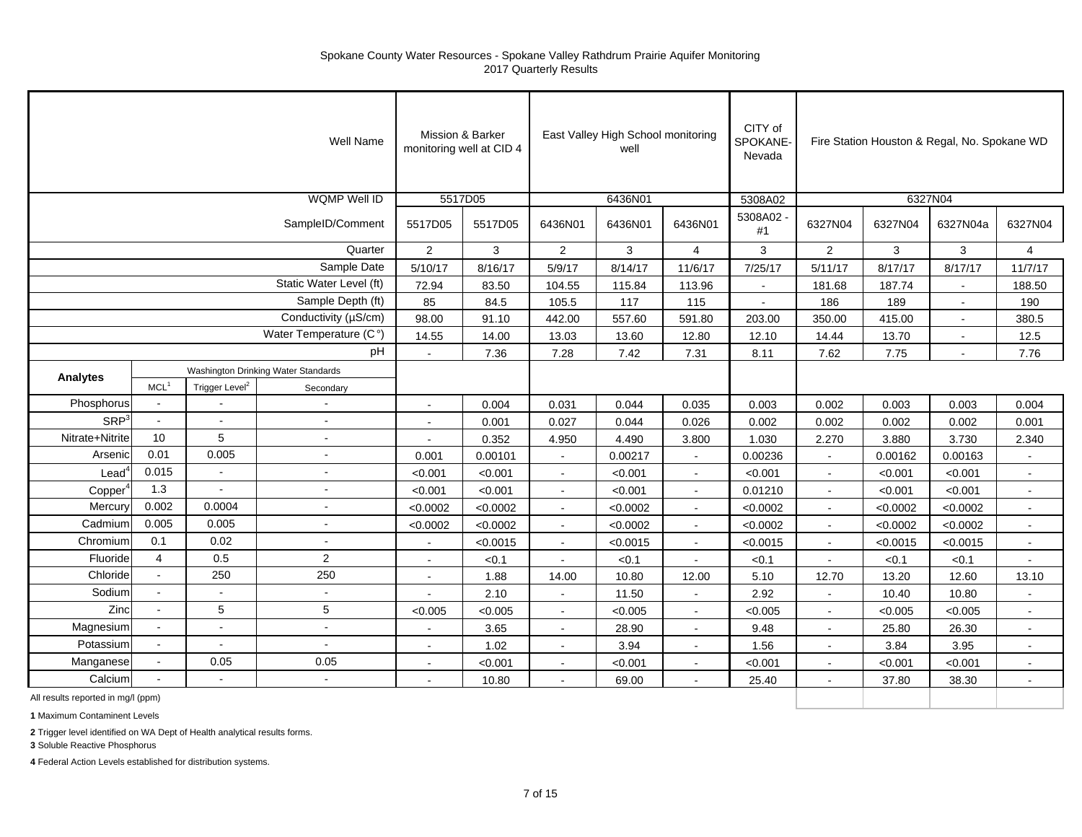|                                    |                  |                            | Well Name                           |                | Mission & Barker<br>monitoring well at CID 4 |                | East Valley High School monitoring<br>well |                | CITY of<br><b>SPOKANE</b><br>Nevada |                |          | Fire Station Houston & Regal, No. Spokane WD |                |
|------------------------------------|------------------|----------------------------|-------------------------------------|----------------|----------------------------------------------|----------------|--------------------------------------------|----------------|-------------------------------------|----------------|----------|----------------------------------------------|----------------|
|                                    |                  |                            | WQMP Well ID                        |                | 5517D05                                      |                | 6436N01                                    |                | 5308A02                             |                | 6327N04  |                                              |                |
|                                    |                  |                            | SampleID/Comment                    | 5517D05        | 5517D05                                      | 6436N01        | 6436N01                                    | 6436N01        | 5308A02<br>#1                       | 6327N04        | 6327N04  | 6327N04a                                     | 6327N04        |
|                                    |                  |                            | Quarter                             | $\overline{2}$ | 3                                            | $\overline{2}$ | 3                                          | $\overline{4}$ | 3                                   | $\overline{2}$ | 3        | 3                                            | $\overline{4}$ |
|                                    |                  |                            | Sample Date                         | 5/10/17        | 8/16/17                                      | 5/9/17         | 8/14/17                                    | 11/6/17        | 7/25/17                             | 5/11/17        | 8/17/17  | 8/17/17                                      | 11/7/17        |
|                                    |                  |                            | Static Water Level (ft)             | 72.94          | 83.50                                        | 104.55         | 115.84                                     | 113.96         |                                     | 181.68         | 187.74   |                                              | 188.50         |
|                                    |                  |                            | Sample Depth (ft)                   | 85             | 84.5                                         | 105.5          | 117                                        | 115            | $\sim$                              | 186            | 189      | $\sim$                                       | 190            |
|                                    |                  |                            | Conductivity (µS/cm)                | 98.00          | 91.10                                        | 442.00         | 557.60                                     | 591.80         | 203.00                              | 350.00         | 415.00   | $\sim$                                       | 380.5          |
|                                    |                  |                            | Water Temperature (C°)              | 14.55          | 14.00                                        | 13.03          | 13.60                                      | 12.80          | 12.10                               | 14.44          | 13.70    | $\overline{a}$                               | 12.5           |
|                                    |                  |                            | pH                                  | $\sim$         | 7.36                                         | 7.28           | 7.42                                       | 7.31           | 8.11                                | 7.62           | 7.75     | $\overline{a}$                               | 7.76           |
| Analytes                           |                  |                            | Washington Drinking Water Standards |                |                                              |                |                                            |                |                                     |                |          |                                              |                |
|                                    | MCL <sup>1</sup> | Trigger Level <sup>2</sup> | Secondary                           |                |                                              |                |                                            |                |                                     |                |          |                                              |                |
| Phosphorus                         |                  |                            | ÷,                                  |                | 0.004                                        | 0.031          | 0.044                                      | 0.035          | 0.003                               | 0.002          | 0.003    | 0.003                                        | 0.004          |
| SRP <sup>3</sup>                   | $\omega$         |                            | $\sim$                              | $\sim$         | 0.001                                        | 0.027          | 0.044                                      | 0.026          | 0.002                               | 0.002          | 0.002    | 0.002                                        | 0.001          |
| Nitrate+Nitrite                    | 10               | 5                          | $\sim$                              | $\sim$         | 0.352                                        | 4.950          | 4.490                                      | 3.800          | 1.030                               | 2.270          | 3.880    | 3.730                                        | 2.340          |
| Arsenic                            | 0.01             | 0.005                      | $\sim$                              | 0.001          | 0.00101                                      | $\sim$         | 0.00217                                    | $\sim$         | 0.00236                             |                | 0.00162  | 0.00163                                      |                |
| Lead                               | 0.015            | $\sim$                     | $\mathbf{r}$                        | < 0.001        | < 0.001                                      | $\sim$         | < 0.001                                    | $\blacksquare$ | < 0.001                             |                | < 0.001  | < 0.001                                      | $\mathbf{u}$   |
| Copper <sup>®</sup>                | 1.3              | $\overline{a}$             |                                     | < 0.001        | < 0.001                                      | $\sim$         | < 0.001                                    | $\blacksquare$ | 0.01210                             |                | < 0.001  | < 0.001                                      | $\sim$         |
| Mercury                            | 0.002            | 0.0004                     | $\blacksquare$                      | < 0.0002       | < 0.0002                                     | $\sim$         | < 0.0002                                   | $\blacksquare$ | < 0.0002                            | $\sim$         | < 0.0002 | < 0.0002                                     | $\sim$         |
| Cadmium                            | 0.005            | 0.005                      | $\blacksquare$                      | < 0.0002       | < 0.0002                                     | $\blacksquare$ | < 0.0002                                   | $\blacksquare$ | < 0.0002                            |                | < 0.0002 | < 0.0002                                     | $\sim$         |
| Chromium                           | 0.1              | 0.02                       | $\sim$                              |                | < 0.0015                                     | $\sim$         | < 0.0015                                   | $\sim$         | < 0.0015                            |                | < 0.0015 | < 0.0015                                     |                |
| Fluoride                           | $\overline{4}$   | 0.5                        | $\overline{2}$                      |                | < 0.1                                        |                | < 0.1                                      |                | < 0.1                               |                | < 0.1    | < 0.1                                        |                |
| Chloride                           |                  | 250                        | 250                                 |                | 1.88                                         | 14.00          | 10.80                                      | 12.00          | 5.10                                | 12.70          | 13.20    | 12.60                                        | 13.10          |
| Sodium                             |                  |                            | $\blacksquare$                      | $\sim$         | 2.10                                         | $\blacksquare$ | 11.50                                      | $\blacksquare$ | 2.92                                | $\sim$         | 10.40    | 10.80                                        | $\sim$         |
| Zinc                               | $\sim$           | 5                          | $\sqrt{5}$                          | < 0.005        | < 0.005                                      | $\sim$         | < 0.005                                    | $\sim$         | < 0.005                             | $\sim$         | < 0.005  | < 0.005                                      | $\sim$         |
| Magnesium                          | $\blacksquare$   | $\sim$                     | $\sim$                              |                | 3.65                                         | $\sim$         | 28.90                                      | $\mathbf{u}$   | 9.48                                |                | 25.80    | 26.30                                        | $\sim$         |
| Potassium                          | $\omega$         | $\sim$                     | $\sim$                              | $\sim$         | 1.02                                         | $\sim$         | 3.94                                       | $\sim$         | 1.56                                |                | 3.84     | 3.95                                         | $\sim$         |
| Manganese                          | $\sim$           | 0.05                       | 0.05                                | $\sim$         | < 0.001                                      | $\sim$         | < 0.001                                    | $\blacksquare$ | < 0.001                             |                | < 0.001  | < 0.001                                      | $\sim$         |
| Calcium                            |                  |                            | $\sim$                              |                | 10.80                                        |                | 69.00                                      | $\overline{a}$ | 25.40                               |                | 37.80    | 38.30                                        |                |
| All results reported in mg/l (ppm) |                  |                            |                                     |                |                                              |                |                                            |                |                                     |                |          |                                              |                |

**1** Maximum Contaminent Levels

**2** Trigger level identified on WA Dept of Health analytical results forms.

**3** Soluble Reactive Phosphorus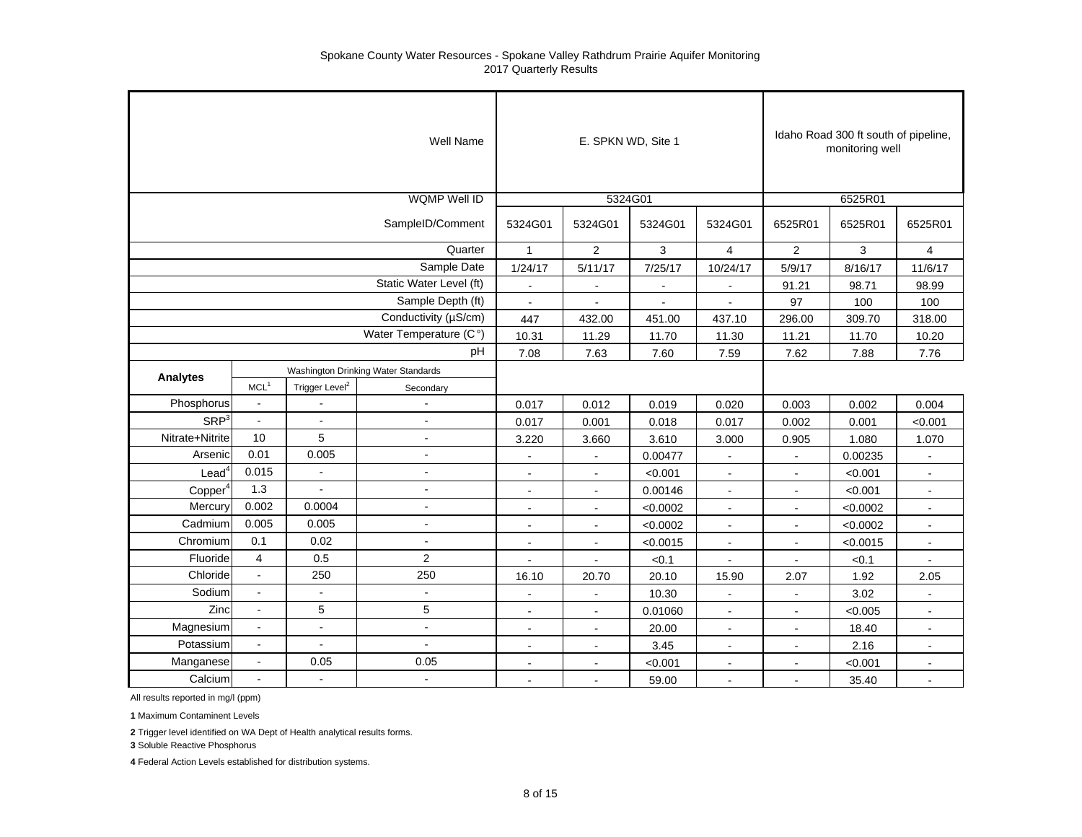|                     |                  |                            | Well Name                           |                | E. SPKN WD, Site 1 |              |                |                | Idaho Road 300 ft south of pipeline,<br>monitoring well |                |
|---------------------|------------------|----------------------------|-------------------------------------|----------------|--------------------|--------------|----------------|----------------|---------------------------------------------------------|----------------|
|                     |                  |                            | <b>WQMP Well ID</b>                 |                | 5324G01            |              |                |                | 6525R01                                                 |                |
|                     |                  |                            | SampleID/Comment                    | 5324G01        | 5324G01            | 5324G01      | 5324G01        | 6525R01        | 6525R01                                                 | 6525R01        |
|                     |                  |                            | Quarter                             | $\mathbf{1}$   | $\overline{2}$     | 3            | $\overline{4}$ | $\overline{2}$ | 3                                                       | $\overline{4}$ |
|                     |                  |                            | Sample Date                         | 1/24/17        | 5/11/17            | 7/25/17      | 10/24/17       | 5/9/17         | 8/16/17                                                 | 11/6/17        |
|                     |                  |                            | Static Water Level (ft)             | $\overline{a}$ | $\sim$             | $\sim$       |                | 91.21          | 98.71                                                   | 98.99          |
|                     |                  |                            | Sample Depth (ft)                   | $\sim$         | $\blacksquare$     | $\mathbf{u}$ | $\blacksquare$ | 97             | 100                                                     | 100            |
|                     |                  |                            | Conductivity (µS/cm)                | 447            | 432.00             | 451.00       | 437.10         | 296.00         | 309.70                                                  | 318.00         |
|                     |                  |                            | Water Temperature (C°)              | 10.31          | 11.29              | 11.70        | 11.30          | 11.21          | 11.70                                                   | 10.20          |
|                     |                  |                            | pH                                  | 7.08           | 7.63               | 7.60         | 7.59           | 7.62           | 7.88                                                    | 7.76           |
| Analytes            |                  |                            | Washington Drinking Water Standards |                |                    |              |                |                |                                                         |                |
|                     | MCL <sup>1</sup> | Trigger Level <sup>2</sup> | Secondary                           |                |                    |              |                |                |                                                         |                |
| Phosphorus          | $\blacksquare$   |                            | $\blacksquare$                      | 0.017          | 0.012              | 0.019        | 0.020          | 0.003          | 0.002                                                   | 0.004          |
| SRP <sup>3</sup>    | $\blacksquare$   | $\blacksquare$             | $\sim$                              | 0.017          | 0.001              | 0.018        | 0.017          | 0.002          | 0.001                                                   | < 0.001        |
| Nitrate+Nitrite     | 10               | 5                          | $\sim$                              | 3.220          | 3.660              | 3.610        | 3.000          | 0.905          | 1.080                                                   | 1.070          |
| Arsenic             | 0.01             | 0.005                      | $\sim$                              | $\blacksquare$ | $\blacksquare$     | 0.00477      | $\sim$         | $\blacksquare$ | 0.00235                                                 |                |
| $\textsf{lead}^4$   | 0.015            | $\bullet$                  | $\blacksquare$                      | $\sim$         | $\sim$             | < 0.001      | $\overline{a}$ | L,             | < 0.001                                                 | ÷              |
| Copper <sup>4</sup> | 1.3              | $\overline{a}$             | $\sim$                              | $\sim$         | $\sim$             | 0.00146      |                | L,             | < 0.001                                                 |                |
| Mercury             | 0.002            | 0.0004                     | $\blacksquare$                      | $\blacksquare$ | $\blacksquare$     | < 0.0002     | $\blacksquare$ | $\blacksquare$ | < 0.0002                                                | $\blacksquare$ |
| Cadmium             | 0.005            | 0.005                      | $\blacksquare$                      | $\sim$         | $\blacksquare$     | < 0.0002     | $\blacksquare$ | $\blacksquare$ | < 0.0002                                                | $\blacksquare$ |
| Chromium            | 0.1              | 0.02                       | $\blacksquare$                      | $\mathbf{r}$   | $\blacksquare$     | < 0.0015     | ä,             | $\overline{a}$ | < 0.0015                                                |                |
| Fluoride            | $\overline{4}$   | 0.5                        | $\overline{2}$                      |                |                    | < 0.1        |                |                | < 0.1                                                   |                |
| Chloride            | $\Box$           | 250                        | 250                                 | 16.10          | 20.70              | 20.10        | 15.90          | 2.07           | 1.92                                                    | 2.05           |
| Sodium              | $\overline{a}$   | $\mathbf{u}$               | $\sim$                              |                |                    | 10.30        |                |                | 3.02                                                    |                |
| Zinc                | $\overline{a}$   | 5                          | 5                                   |                | $\blacksquare$     | 0.01060      | $\blacksquare$ | $\blacksquare$ | < 0.005                                                 | $\blacksquare$ |
| Magnesium           | $\blacksquare$   | $\blacksquare$             | $\sim$                              | $\blacksquare$ | $\blacksquare$     | 20.00        | $\sim$         | $\sim$         | 18.40                                                   | $\sim$         |
| Potassium           | $\blacksquare$   | $\blacksquare$             | $\blacksquare$                      | $\blacksquare$ | $\blacksquare$     | 3.45         | $\blacksquare$ | $\blacksquare$ | 2.16                                                    | $\blacksquare$ |
| Manganese           | $\Box$           | 0.05                       | 0.05                                |                |                    | < 0.001      |                |                | < 0.001                                                 |                |
| Calcium             | $\blacksquare$   | $\mathbf{r}$               | $\mathbf{r}$                        | $\mathbf{r}$   | $\sim$             | 59.00        | $\sim$         | $\blacksquare$ | 35.40                                                   | $\blacksquare$ |

All results reported in mg/l (ppm)

**1** Maximum Contaminent Levels

**2** Trigger level identified on WA Dept of Health analytical results forms.

**3** Soluble Reactive Phosphorus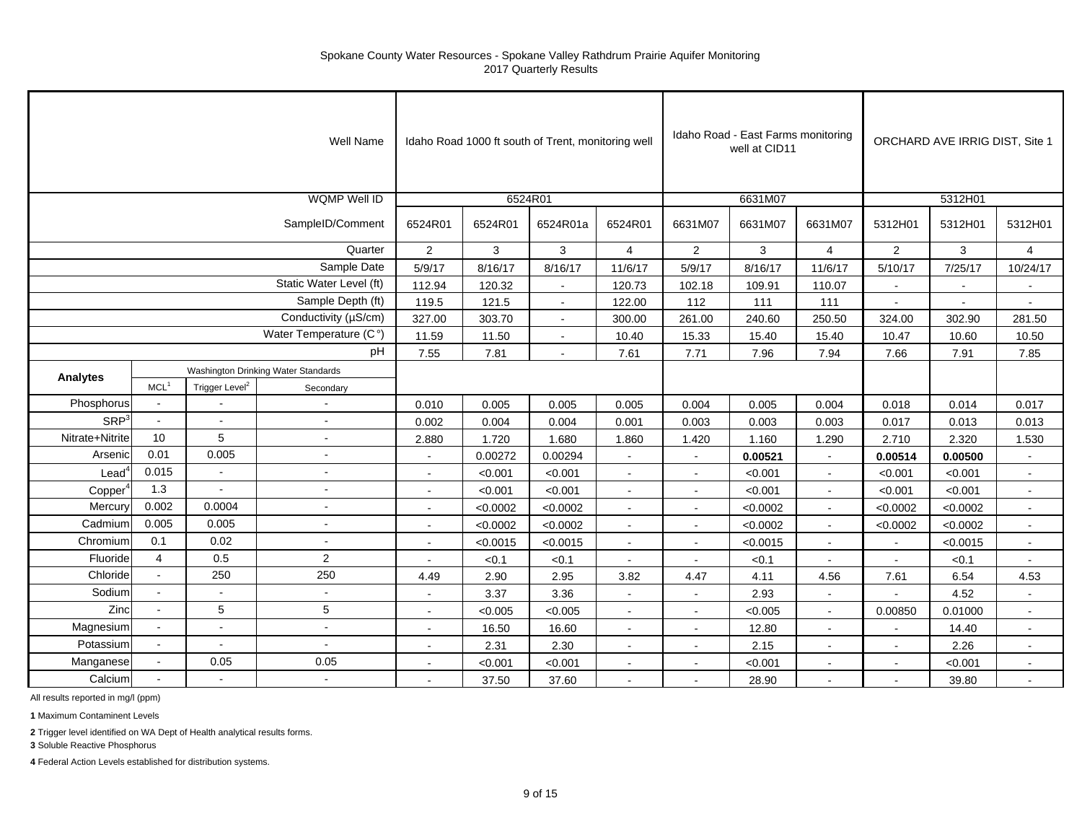|                          |                                     |                            | Well Name               |                |              | Idaho Road 1000 ft south of Trent, monitoring well |                |                | Idaho Road - East Farms monitoring<br>well at CID11 |                |                | ORCHARD AVE IRRIG DIST, Site 1 |                |
|--------------------------|-------------------------------------|----------------------------|-------------------------|----------------|--------------|----------------------------------------------------|----------------|----------------|-----------------------------------------------------|----------------|----------------|--------------------------------|----------------|
|                          |                                     |                            | <b>WQMP Well ID</b>     |                | 6524R01      |                                                    |                |                | 6631M07                                             |                |                | 5312H01                        |                |
|                          |                                     |                            | SampleID/Comment        | 6524R01        | 6524R01      | 6524R01a                                           | 6524R01        | 6631M07        | 6631M07                                             | 6631M07        | 5312H01        | 5312H01                        | 5312H01        |
|                          |                                     |                            | Quarter                 | $\overline{2}$ | $\mathbf{3}$ | $\mathbf{3}$                                       | $\overline{4}$ | $\overline{2}$ | 3                                                   | $\overline{4}$ | $\overline{2}$ | 3                              | $\overline{4}$ |
|                          |                                     |                            | Sample Date             | 5/9/17         | 8/16/17      | 8/16/17                                            | 11/6/17        | 5/9/17         | 8/16/17                                             | 11/6/17        | 5/10/17        | 7/25/17                        | 10/24/17       |
|                          |                                     |                            | Static Water Level (ft) | 112.94         | 120.32       | $\blacksquare$                                     | 120.73         | 102.18         | 109.91                                              | 110.07         | $\blacksquare$ | $\blacksquare$                 |                |
|                          |                                     |                            | Sample Depth (ft)       | 119.5          | 121.5        | $\sim$                                             | 122.00         | 112            | 111                                                 | 111            | $\sim$         | $\blacksquare$                 | $\sim$         |
|                          |                                     |                            | Conductivity (µS/cm)    | 327.00         | 303.70       | $\blacksquare$                                     | 300.00         | 261.00         | 240.60                                              | 250.50         | 324.00         | 302.90                         | 281.50         |
|                          |                                     |                            | Water Temperature (C°)  | 11.59          | 11.50        | $\blacksquare$                                     | 10.40          | 15.33          | 15.40                                               | 15.40          | 10.47          | 10.60                          | 10.50          |
|                          |                                     |                            | pH                      | 7.55           | 7.81         | $\sim$                                             | 7.61           | 7.71           | 7.96                                                | 7.94           | 7.66           | 7.91                           | 7.85           |
|                          | Washington Drinking Water Standards |                            |                         |                |              |                                                    |                |                |                                                     |                |                |                                |                |
| <b>Analytes</b>          | MCL <sup>1</sup>                    | Trigger Level <sup>2</sup> | Secondary               |                |              |                                                    |                |                |                                                     |                |                |                                |                |
| Phosphorus               | $\sim$                              |                            | $\sim$                  | 0.010          | 0.005        | 0.005                                              | 0.005          | 0.004          | 0.005                                               | 0.004          | 0.018          | 0.014                          | 0.017          |
| SRP <sup>3</sup>         | $\sim$                              | $\mathbf{r}$               | $\sim$                  | 0.002          | 0.004        | 0.004                                              | 0.001          | 0.003          | 0.003                                               | 0.003          | 0.017          | 0.013                          | 0.013          |
| Nitrate+Nitrite          | 10                                  | 5                          | $\sim$                  | 2.880          | 1.720        | 1.680                                              | 1.860          | 1.420          | 1.160                                               | 1.290          | 2.710          | 2.320                          | 1.530          |
| Arsenic                  | 0.01                                | 0.005                      | $\sim$                  | $\sim$         | 0.00272      | 0.00294                                            | $\sim$         | $\sim$         | 0.00521                                             | $\sim$         | 0.00514        | 0.00500                        | $\sim$         |
| $\text{Lead}^{\text{c}}$ | 0.015                               | $\blacksquare$             | $\sim$                  |                | < 0.001      | < 0.001                                            | $\sim$         | $\blacksquare$ | < 0.001                                             |                | < 0.001        | < 0.001                        | $\sim$         |
| Copper                   | 1.3                                 |                            | $\tilde{\phantom{a}}$   |                | < 0.001      | < 0.001                                            |                | $\blacksquare$ | < 0.001                                             |                | < 0.001        | < 0.001                        | $\sim$         |
| Mercury                  | 0.002                               | 0.0004                     | $\sim$                  | $\sim$         | < 0.0002     | < 0.0002                                           | $\blacksquare$ | $\blacksquare$ | < 0.0002                                            | $\sim$         | < 0.0002       | < 0.0002                       | $\blacksquare$ |
| Cadmium                  | 0.005                               | 0.005                      | $\sim$                  | $\sim$         | < 0.0002     | < 0.0002                                           | $\sim$         | $\blacksquare$ | < 0.0002                                            |                | < 0.0002       | < 0.0002                       | $\sim$         |
| Chromium                 | 0.1                                 | 0.02                       | $\sim$                  | $\sim$         | < 0.0015     | < 0.0015                                           | $\sim$         | $\blacksquare$ | < 0.0015                                            |                | $\sim$         | < 0.0015                       | $\sim$         |
| Fluoride                 | $\overline{4}$                      | 0.5                        | $\overline{2}$          |                | < 0.1        | < 0.1                                              |                | $\sim$         | < 0.1                                               |                | $\sim$         | < 0.1                          | $\sim$         |
| Chloride                 | $\omega$                            | 250                        | 250                     | 4.49           | 2.90         | 2.95                                               | 3.82           | 4.47           | 4.11                                                | 4.56           | 7.61           | 6.54                           | 4.53           |
| Sodium                   | $\sim$                              |                            | $\sim$                  |                | 3.37         | 3.36                                               |                |                | 2.93                                                |                |                | 4.52                           |                |
| Zinc                     |                                     | 5                          | 5                       |                | < 0.005      | < 0.005                                            |                | $\sim$         | < 0.005                                             |                | 0.00850        | 0.01000                        | $\sim$         |
| Magnesium                | $\blacksquare$                      | $\blacksquare$             | $\sim$                  | $\sim$         | 16.50        | 16.60                                              | $\sim$         | $\sim$         | 12.80                                               | $\sim$         | $\sim$         | 14.40                          | $\sim$         |
| Potassium                | $\blacksquare$                      | $\blacksquare$             | $\sim$                  |                | 2.31         | 2.30                                               | $\sim$         | $\blacksquare$ | 2.15                                                |                | $\blacksquare$ | 2.26                           | $\sim$         |
| Manganese                | $\mathbf{u}$                        | 0.05                       | 0.05                    |                | < 0.001      | < 0.001                                            | $\sim$         | ٠              | < 0.001                                             |                |                | < 0.001                        | $\blacksquare$ |
| Calcium                  |                                     |                            | $\sim$                  |                | 37.50        | 37.60                                              |                | $\blacksquare$ | 28.90                                               |                | $\blacksquare$ | 39.80                          | $\sim$         |

All results reported in mg/l (ppm)

**1** Maximum Contaminent Levels

**2** Trigger level identified on WA Dept of Health analytical results forms.

**3** Soluble Reactive Phosphorus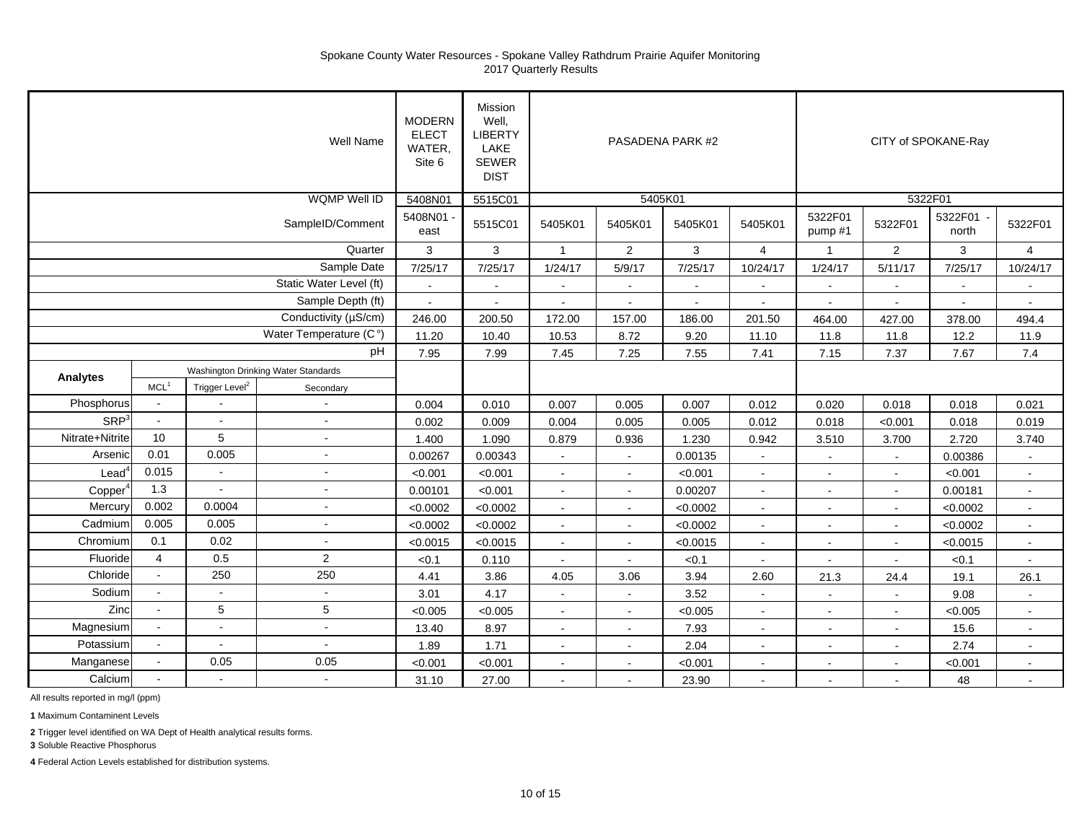|                     |                                     |                            | Well Name                   | <b>MODERN</b><br><b>ELECT</b><br>WATER,<br>Site 6 | <b>Mission</b><br>Well,<br><b>LIBERTY</b><br>LAKE<br><b>SEWER</b><br><b>DIST</b> |                |                | PASADENA PARK #2 |                |                    |                | CITY of SPOKANE-Ray  |                |
|---------------------|-------------------------------------|----------------------------|-----------------------------|---------------------------------------------------|----------------------------------------------------------------------------------|----------------|----------------|------------------|----------------|--------------------|----------------|----------------------|----------------|
|                     |                                     |                            | <b>WQMP Well ID</b>         | 5408N01                                           | 5515C01                                                                          |                | 5405K01        |                  |                |                    |                | 5322F01              |                |
|                     |                                     |                            | SampleID/Comment            | 5408N01 -<br>east                                 | 5515C01                                                                          | 5405K01        | 5405K01        | 5405K01          | 5405K01        | 5322F01<br>pump #1 | 5322F01        | 5322F01<br>north     | 5322F01        |
|                     |                                     |                            | Quarter                     | 3                                                 | 3                                                                                | $\overline{1}$ | $\overline{2}$ | $\mathbf{3}$     | $\overline{4}$ | $\mathbf 1$        | $\overline{2}$ | $\mathbf{3}$         | $\overline{4}$ |
|                     |                                     |                            | Sample Date                 | 7/25/17                                           | 7/25/17                                                                          | 1/24/17        | 5/9/17         | 7/25/17          | 10/24/17       | 1/24/17            | 5/11/17        | 7/25/17              | 10/24/17       |
|                     |                                     |                            | Static Water Level (ft)     | $\omega$                                          | $\sim$                                                                           | $\sim$         | $\sim$         | $\blacksquare$   | $\blacksquare$ |                    | $\blacksquare$ | $\ddot{\phantom{a}}$ | $\sim$         |
|                     |                                     |                            | Sample Depth (ft)           | $\omega$                                          | $\sim$                                                                           | $\sim$         | $\sim$         | $\sim$           | $\blacksquare$ |                    | $\sim$         | $\blacksquare$       | $\sim$         |
|                     |                                     |                            | Conductivity (µS/cm)        | 246.00                                            | 200.50                                                                           | 172.00         | 157.00         | 186.00           | 201.50         | 464.00             | 427.00         | 378.00               | 494.4          |
|                     |                                     |                            | Water Temperature (C°)      | 11.20                                             | 10.40                                                                            | 10.53          | 8.72           | 9.20             | 11.10          | 11.8               | 11.8           | 12.2                 | 11.9           |
|                     |                                     |                            | pH                          | 7.95                                              | 7.99                                                                             | 7.45           | 7.25           | 7.55             | 7.41           | 7.15               | 7.37           | 7.67                 | 7.4            |
| Analytes            | Washington Drinking Water Standards |                            |                             |                                                   |                                                                                  |                |                |                  |                |                    |                |                      |                |
|                     | MCL <sup>1</sup>                    | Trigger Level <sup>2</sup> | Secondary                   |                                                   |                                                                                  |                |                |                  |                |                    |                |                      |                |
| Phosphorus          | $\blacksquare$                      |                            | $\overline{\phantom{a}}$    | 0.004                                             | 0.010                                                                            | 0.007          | 0.005          | 0.007            | 0.012          | 0.020              | 0.018          | 0.018                | 0.021          |
| SRP <sup>3</sup>    | $\blacksquare$                      | $\sim$                     | $\sim$                      | 0.002                                             | 0.009                                                                            | 0.004          | 0.005          | 0.005            | 0.012          | 0.018              | < 0.001        | 0.018                | 0.019          |
| Nitrate+Nitrite     | 10                                  | 5                          | $\sim$                      | 1.400                                             | 1.090                                                                            | 0.879          | 0.936          | 1.230            | 0.942          | 3.510              | 3.700          | 2.720                | 3.740          |
| Arsenic             | 0.01                                | 0.005                      | $\sim$                      | 0.00267                                           | 0.00343                                                                          | $\sim$         | $\sim$         | 0.00135          | $\sim$         |                    | $\sim$         | 0.00386              | $\sim$         |
| $\text{Lead}^4$     | 0.015                               | $\sim$                     | $\sim$                      | < 0.001                                           | < 0.001                                                                          | $\sim$         |                | < 0.001          | $\sim$         |                    | $\sim$         | < 0.001              | $\sim$         |
| Copper <sup>4</sup> | 1.3                                 |                            | $\tilde{\phantom{a}}$       | 0.00101                                           | < 0.001                                                                          | $\sim$         |                | 0.00207          | $\blacksquare$ |                    | $\sim$         | 0.00181              | $\blacksquare$ |
| Mercury             | 0.002                               | 0.0004                     | $\sim$                      | < 0.0002                                          | < 0.0002                                                                         | $\blacksquare$ | $\sim$         | < 0.0002         | $\sim$         | $\sim$             | $\sim$         | < 0.0002             | $\sim$         |
| Cadmium             | 0.005                               | 0.005                      | $\sim$                      | < 0.0002                                          | < 0.0002                                                                         | $\mathbf{r}$   | $\sim$         | < 0.0002         | $\sim$         | $\sim$             | $\sim$         | < 0.0002             | $\sim$         |
| Chromium            | 0.1                                 | 0.02                       | $\tilde{\phantom{a}}$       | < 0.0015                                          | < 0.0015                                                                         | $\sim$         | $\sim$         | < 0.0015         | $\blacksquare$ |                    | $\sim$         | < 0.0015             | $\omega$       |
| Fluoride            | $\overline{4}$                      | 0.5                        | 2                           | < 0.1                                             | 0.110                                                                            | $\sim$         | $\sim$         | < 0.1            |                |                    | $\sim$         | < 0.1                | $\blacksquare$ |
| Chloride            | $\mathbf{r}$                        | 250                        | 250                         | 4.41                                              | 3.86                                                                             | 4.05           | 3.06           | 3.94             | 2.60           | 21.3               | 24.4           | 19.1                 | 26.1           |
| Sodium              |                                     |                            | $\sim$                      | 3.01                                              | 4.17                                                                             | $\sim$         |                | 3.52             | $\sim$         |                    | $\sim$         | 9.08                 | $\sim$         |
| Zinc                |                                     | 5                          | 5                           | < 0.005                                           | < 0.005                                                                          | $\blacksquare$ | $\sim$         | < 0.005          | $\blacksquare$ | $\sim$             | $\blacksquare$ | < 0.005              | $\sim$         |
| Magnesium           | $\blacksquare$                      | $\sim$                     | $\mathcal{L}_{\mathcal{A}}$ | 13.40                                             | 8.97                                                                             | $\sim$         | $\sim$         | 7.93             | $\sim$         | $\sim$             | $\blacksquare$ | 15.6                 | $\sim$         |
| Potassium           | $\blacksquare$                      | $\sim$                     | $\sim$                      | 1.89                                              | 1.71                                                                             | $\blacksquare$ | $\sim$         | 2.04             | $\blacksquare$ |                    | $\blacksquare$ | 2.74                 | $\sim$         |
| Manganese           |                                     | 0.05                       | 0.05                        | < 0.001                                           | < 0.001                                                                          | $\blacksquare$ | $\sim$         | < 0.001          | $\blacksquare$ |                    |                | < 0.001              | $\blacksquare$ |
| Calcium             |                                     |                            | $\sim$                      | 31.10                                             | 27.00                                                                            | $\sim$         |                | 23.90            |                |                    | $\sim$         | 48                   | $\sim$         |

All results reported in mg/l (ppm)

**1** Maximum Contaminent Levels

**2** Trigger level identified on WA Dept of Health analytical results forms.

**3** Soluble Reactive Phosphorus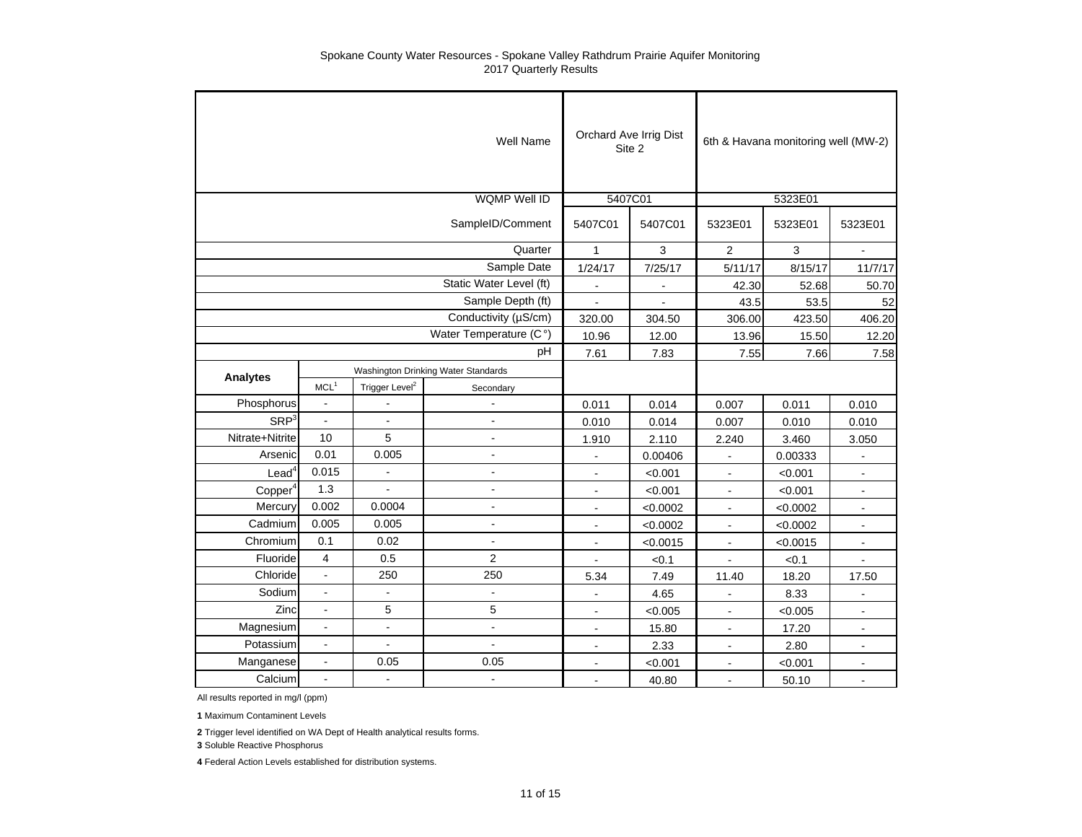|                     |                          |                            | <b>Well Name</b>                    |                | Orchard Ave Irrig Dist<br>Site 2 |                | 6th & Havana monitoring well (MW-2) |                      |
|---------------------|--------------------------|----------------------------|-------------------------------------|----------------|----------------------------------|----------------|-------------------------------------|----------------------|
|                     |                          |                            | <b>WQMP Well ID</b>                 |                | 5407C01                          |                | 5323E01                             |                      |
|                     |                          |                            | SampleID/Comment                    | 5407C01        | 5407C01                          | 5323E01        | 5323E01                             | 5323E01              |
|                     |                          |                            | Quarter                             | $\mathbf{1}$   | 3                                | $\overline{2}$ | 3                                   |                      |
|                     |                          |                            | Sample Date                         | 1/24/17        | 7/25/17                          | 5/11/17        | 8/15/17                             | 11/7/17              |
|                     |                          |                            | Static Water Level (ft)             | $\mathbf{r}$   |                                  | 42.30          | 52.68                               | 50.70                |
|                     |                          |                            | Sample Depth (ft)                   | $\blacksquare$ |                                  | 43.5           | 53.5                                | 52                   |
|                     |                          |                            | Conductivity (µS/cm)                | 320.00         | 304.50                           | 306.00         | 423.50                              | 406.20               |
|                     |                          |                            | Water Temperature (C°)              | 10.96          | 12.00                            | 13.96          | 15.50                               | 12.20                |
|                     |                          |                            | pH                                  | 7.61           | 7.83                             | 7.55           | 7.66                                | 7.58                 |
| <b>Analytes</b>     |                          |                            | Washington Drinking Water Standards |                |                                  |                |                                     |                      |
|                     | MCL <sup>1</sup>         | Trigger Level <sup>2</sup> | Secondary                           |                |                                  |                |                                     |                      |
| Phosphorus          | $\ddot{\phantom{a}}$     |                            |                                     | 0.011          | 0.014                            | 0.007          | 0.011                               | 0.010                |
| SRP <sup>3</sup>    |                          | Ĭ.                         |                                     | 0.010          | 0.014                            | 0.007          | 0.010                               | 0.010                |
| Nitrate+Nitrite     | 10                       | 5                          | $\blacksquare$                      | 1.910          | 2.110                            | 2.240          | 3.460                               | 3.050                |
| Arsenic             | 0.01                     | 0.005                      | $\blacksquare$                      | $\overline{a}$ | 0.00406                          |                | 0.00333                             |                      |
| Lead <sup>4</sup>   | 0.015                    | $\sim$                     | $\overline{a}$                      | $\blacksquare$ | < 0.001                          | $\blacksquare$ | < 0.001                             | $\blacksquare$       |
| Copper <sup>4</sup> | 1.3                      | $\overline{a}$             | $\blacksquare$                      | $\overline{a}$ | < 0.001                          | $\mathbf{r}$   | < 0.001                             | $\blacksquare$       |
| Mercury             | 0.002                    | 0.0004                     | $\overline{a}$                      | $\blacksquare$ | < 0.0002                         |                | < 0.0002                            | $\frac{1}{2}$        |
| Cadmium             | 0.005                    | 0.005                      | $\blacksquare$                      | $\blacksquare$ | < 0.0002                         | $\blacksquare$ | < 0.0002                            | $\blacksquare$       |
| Chromium            | 0.1                      | 0.02                       | $\blacksquare$                      | $\blacksquare$ | < 0.0015                         | $\blacksquare$ | < 0.0015                            | $\blacksquare$       |
| Fluoride            | 4                        | 0.5                        | $\overline{2}$                      |                | < 0.1                            |                | < 0.1                               |                      |
| Chloride            | $\overline{\phantom{a}}$ | 250                        | 250                                 | 5.34           | 7.49                             | 11.40          | 18.20                               | 17.50                |
| Sodium              | $\ddot{\phantom{a}}$     | $\sim$                     | $\blacksquare$                      | L,             | 4.65                             | $\sim$         | 8.33                                |                      |
| Zinc                |                          | 5                          | 5                                   | $\overline{a}$ | < 0.005                          | $\sim$         | < 0.005                             | $\blacksquare$       |
| Magnesium           | $\overline{a}$           | $\tilde{\phantom{a}}$      | $\overline{a}$                      | $\blacksquare$ | 15.80                            | $\blacksquare$ | 17.20                               | $\blacksquare$       |
| Potassium           | $\blacksquare$           | $\blacksquare$             | $\blacksquare$                      | L,             | 2.33                             | $\blacksquare$ | 2.80                                | $\blacksquare$       |
| Manganese           | ä,                       | 0.05                       | 0.05                                |                | < 0.001                          |                | < 0.001                             | $\ddot{\phantom{a}}$ |
| Calcium             | ä,                       |                            | $\overline{\phantom{a}}$            | $\blacksquare$ | 40.80                            | $\blacksquare$ | 50.10                               | $\sim$               |

All results reported in mg/l (ppm)

**1** Maximum Contaminent Levels

**2** Trigger level identified on WA Dept of Health analytical results forms.

**3** Soluble Reactive Phosphorus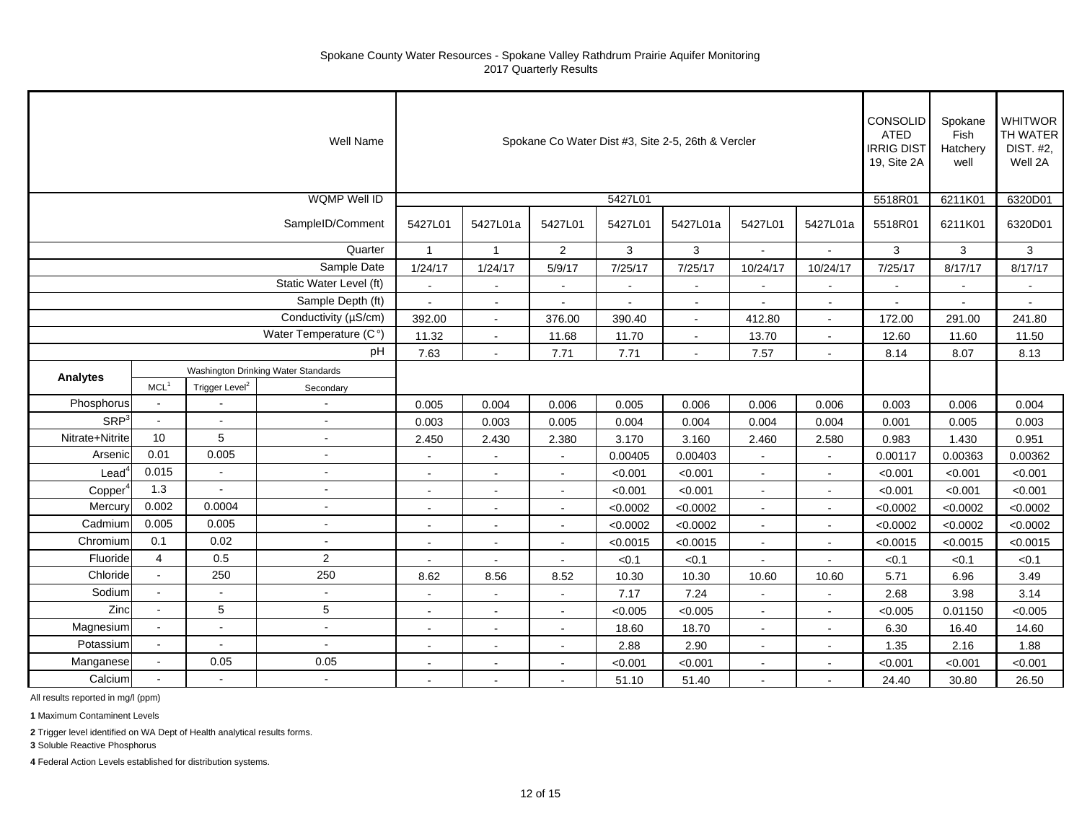|                     |                                     |                            | Well Name                   |                |                          |                |                          | Spokane Co Water Dist #3, Site 2-5, 26th & Vercler |                |                | CONSOLID<br><b>ATED</b><br><b>IRRIG DIST</b><br>19, Site 2A | Spokane<br>Fish<br>Hatchery<br>well | <b>WHITWOR</b><br>TH WATER<br>DIST. #2,<br>Well 2A |
|---------------------|-------------------------------------|----------------------------|-----------------------------|----------------|--------------------------|----------------|--------------------------|----------------------------------------------------|----------------|----------------|-------------------------------------------------------------|-------------------------------------|----------------------------------------------------|
|                     |                                     |                            | <b>WQMP Well ID</b>         |                |                          |                | 5427L01                  |                                                    |                |                | 5518R01                                                     | 6211K01                             | 6320D01                                            |
|                     |                                     |                            | SampleID/Comment            | 5427L01        | 5427L01a                 | 5427L01        | 5427L01                  | 5427L01a                                           | 5427L01        | 5427L01a       | 5518R01                                                     | 6211K01                             | 6320D01                                            |
|                     |                                     |                            | Quarter                     | $\mathbf{1}$   | $\overline{1}$           | $\overline{2}$ | 3                        | 3                                                  | $\sim$         |                | 3                                                           | 3                                   | $\mathbf{3}$                                       |
|                     |                                     |                            | Sample Date                 | 1/24/17        | 1/24/17                  | 5/9/17         | 7/25/17                  | 7/25/17                                            | 10/24/17       | 10/24/17       | 7/25/17                                                     | 8/17/17                             | 8/17/17                                            |
|                     |                                     |                            | Static Water Level (ft)     | $\Delta$       | $\sim$                   | $\sim$         | $\overline{a}$           | $\sim$                                             | $\sim$         | $\sim$         | $\sim$                                                      |                                     | $\sim$                                             |
|                     |                                     |                            | Sample Depth (ft)           | $\blacksquare$ | $\sim$                   | $\sim$         | $\overline{\phantom{a}}$ | $\blacksquare$                                     | $\sim$         | $\sim$         | $\blacksquare$                                              |                                     | $\sim$                                             |
|                     |                                     |                            | Conductivity (µS/cm)        | 392.00         | $\sim$                   | 376.00         | 390.40                   | $\sim$                                             | 412.80         | $\sim$         | 172.00                                                      | 291.00                              | 241.80                                             |
|                     |                                     |                            | Water Temperature (C°)      | 11.32          | $\sim$                   | 11.68          | 11.70                    | $\sim$                                             | 13.70          | $\sim$         | 12.60                                                       | 11.60                               | 11.50                                              |
|                     |                                     |                            | pH                          | 7.63           | $\sim$                   | 7.71           | 7.71                     | $\sim$                                             | 7.57           | $\sim$         | 8.14                                                        | 8.07                                | 8.13                                               |
|                     | Washington Drinking Water Standards |                            |                             |                |                          |                |                          |                                                    |                |                |                                                             |                                     |                                                    |
| Analytes            | MCL <sup>1</sup>                    | Trigger Level <sup>2</sup> | Secondary                   |                |                          |                |                          |                                                    |                |                |                                                             |                                     |                                                    |
| Phosphorus          | $\bullet$                           |                            | $\blacksquare$              | 0.005          | 0.004                    | 0.006          | 0.005                    | 0.006                                              | 0.006          | 0.006          | 0.003                                                       | 0.006                               | 0.004                                              |
| SRP <sup>3</sup>    | $\sim$                              | $\sim$                     | $\sim$                      | 0.003          | 0.003                    | 0.005          | 0.004                    | 0.004                                              | 0.004          | 0.004          | 0.001                                                       | 0.005                               | 0.003                                              |
| Nitrate+Nitrite     | 10                                  | 5                          | ÷,                          | 2.450          | 2.430                    | 2.380          | 3.170                    | 3.160                                              | 2.460          | 2.580          | 0.983                                                       | 1.430                               | 0.951                                              |
| Arsenic             | 0.01                                | 0.005                      | $\sim$                      | $\sim$         | $\sim$                   | $\sim$         | 0.00405                  | 0.00403                                            | $\sim$         | $\sim$         | 0.00117                                                     | 0.00363                             | 0.00362                                            |
| $\text{Lead}^4$     | 0.015                               |                            | $\sim$                      | ÷.             | $\overline{a}$           | $\sim$         | < 0.001                  | < 0.001                                            | $\sim$         |                | < 0.001                                                     | < 0.001                             | < 0.001                                            |
| Copper <sup>4</sup> | 1.3                                 |                            | $\overline{a}$              | $\sim$         |                          |                | < 0.001                  | < 0.001                                            |                | $\sim$         | < 0.001                                                     | < 0.001                             | < 0.001                                            |
| Mercury             | 0.002                               | 0.0004                     | $\blacksquare$              | $\blacksquare$ | $\blacksquare$           | $\sim$         | < 0.0002                 | < 0.0002                                           | $\blacksquare$ | $\blacksquare$ | < 0.0002                                                    | < 0.0002                            | < 0.0002                                           |
| Cadmium             | 0.005                               | 0.005                      | $\sim$                      | $\blacksquare$ | $\ddot{\phantom{a}}$     | $\sim$         | < 0.0002                 | < 0.0002                                           | $\sim$         | $\sim$         | < 0.0002                                                    | < 0.0002                            | < 0.0002                                           |
| Chromium            | 0.1                                 | 0.02                       | $\tilde{\phantom{a}}$       | $\sim$         | $\overline{a}$           | $\sim$         | < 0.0015                 | < 0.0015                                           | $\sim$         | $\mathbf{r}$   | < 0.0015                                                    | < 0.0015                            | < 0.0015                                           |
| Fluoride            | $\overline{4}$                      | 0.5                        | 2                           | $\sim$         | $\sim$                   | $\sim$         | < 0.1                    | < 0.1                                              | $\sim$         |                | < 0.1                                                       | < 0.1                               | < 0.1                                              |
| Chloride            | $\omega$                            | 250                        | 250                         | 8.62           | 8.56                     | 8.52           | 10.30                    | 10.30                                              | 10.60          | 10.60          | 5.71                                                        | 6.96                                | 3.49                                               |
| Sodium              | $\sim$                              |                            | $\sim$                      | $\sim$         |                          |                | 7.17                     | 7.24                                               |                |                | 2.68                                                        | 3.98                                | 3.14                                               |
| Zinc                |                                     | 5                          | $5\phantom{.0}$             | $\blacksquare$ | $\overline{\phantom{a}}$ | $\blacksquare$ | < 0.005                  | < 0.005                                            | $\sim$         | $\sim$         | < 0.005                                                     | 0.01150                             | < 0.005                                            |
| Magnesium           | $\blacksquare$                      | $\sim$                     | $\mathcal{L}_{\mathcal{A}}$ | $\sim$         | $\sim$                   | $\sim$         | 18.60                    | 18.70                                              | $\sim$         | $\sim$         | 6.30                                                        | 16.40                               | 14.60                                              |
| Potassium           | $\blacksquare$                      | $\sim$                     | $\sim$                      | $\blacksquare$ | $\tilde{\phantom{a}}$    | $\sim$         | 2.88                     | 2.90                                               | $\sim$         | $\blacksquare$ | 1.35                                                        | 2.16                                | 1.88                                               |
| Manganese           | $\sim$                              | 0.05                       | 0.05                        |                |                          |                | < 0.001                  | < 0.001                                            |                |                | < 0.001                                                     | < 0.001                             | < 0.001                                            |
| Calcium             |                                     |                            | $\sim$                      | $\sim$         | $\sim$                   |                | 51.10                    | 51.40                                              |                | $\sim$         | 24.40                                                       | 30.80                               | 26.50                                              |

All results reported in mg/l (ppm)

**1** Maximum Contaminent Levels

**2** Trigger level identified on WA Dept of Health analytical results forms.

**3** Soluble Reactive Phosphorus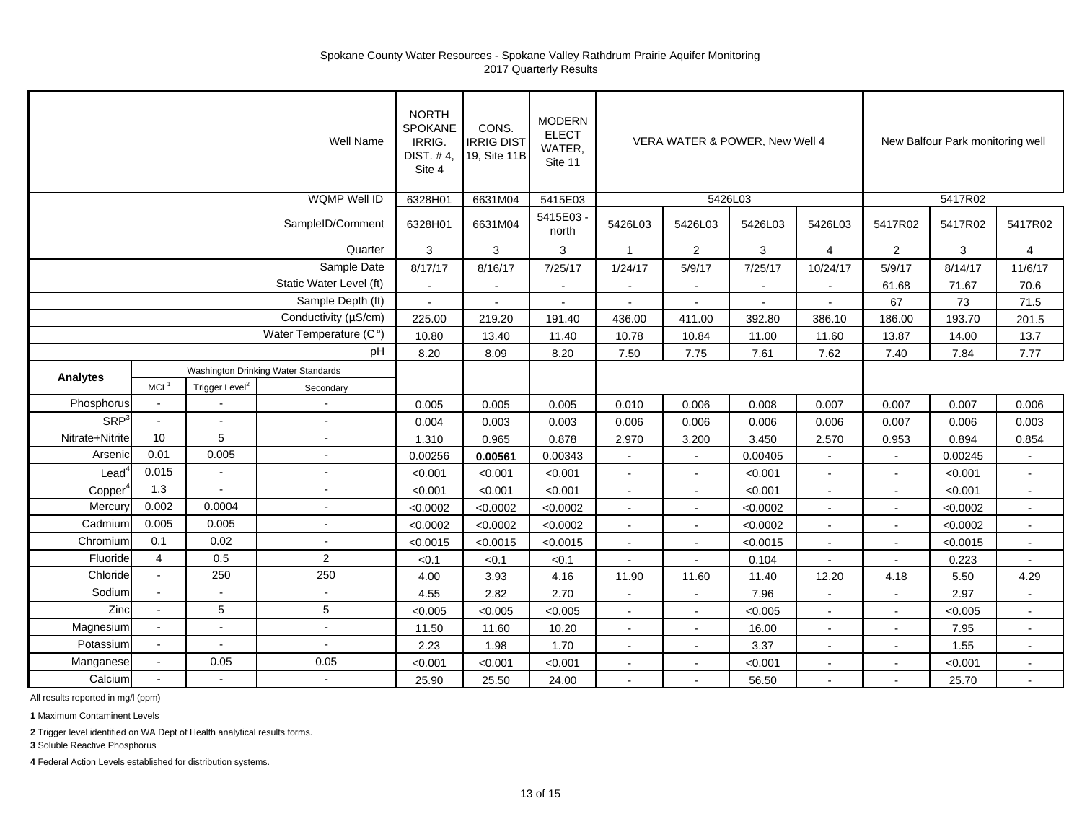| Well Name              |                  |                                     |                         |              | CONS.<br><b>IRRIG DIST</b><br>19, Site 11B | <b>MODERN</b><br><b>ELECT</b><br>WATER,<br>Site 11 |                | VERA WATER & POWER, New Well 4 |                | New Balfour Park monitoring well |                |          |                |
|------------------------|------------------|-------------------------------------|-------------------------|--------------|--------------------------------------------|----------------------------------------------------|----------------|--------------------------------|----------------|----------------------------------|----------------|----------|----------------|
| <b>WQMP Well ID</b>    |                  |                                     |                         |              | 6631M04                                    | 5415E03                                            |                | 5426L03                        |                | 5417R02                          |                |          |                |
| SampleID/Comment       |                  |                                     |                         |              | 6631M04                                    | 5415E03<br>north                                   | 5426L03        | 5426L03                        | 5426L03        | 5426L03                          | 5417R02        | 5417R02  | 5417R02        |
|                        |                  |                                     | Quarter                 | $\mathbf{3}$ | 3                                          | 3                                                  | $\mathbf{1}$   | $\overline{2}$                 | $\mathbf{3}$   | $\overline{4}$                   | $\overline{2}$ | 3        | $\overline{4}$ |
|                        |                  |                                     | Sample Date             | 8/17/17      | 8/16/17                                    | 7/25/17                                            | 1/24/17        | 5/9/17                         | 7/25/17        | 10/24/17                         | 5/9/17         | 8/14/17  | 11/6/17        |
|                        |                  |                                     | Static Water Level (ft) | $\sim$       | $\tilde{\phantom{a}}$                      | $\blacksquare$                                     | $\sim$         | $\sim$                         | $\blacksquare$ |                                  | 61.68          | 71.67    | 70.6           |
| Sample Depth (ft)      |                  |                                     |                         | $\sim$       |                                            | $\blacksquare$                                     | $\sim$         | $\sim$                         | $\sim$         |                                  | 67             | 73       | 71.5           |
| Conductivity (µS/cm)   |                  |                                     |                         | 225.00       | 219.20                                     | 191.40                                             | 436.00         | 411.00                         | 392.80         | 386.10                           | 186.00         | 193.70   | 201.5          |
| Water Temperature (C°) |                  |                                     |                         | 10.80        | 13.40                                      | 11.40                                              | 10.78          | 10.84                          | 11.00          | 11.60                            | 13.87          | 14.00    | 13.7           |
| pH                     |                  |                                     |                         | 8.20         | 8.09                                       | 8.20                                               | 7.50           | 7.75                           | 7.61           | 7.62                             | 7.40           | 7.84     | 7.77           |
|                        |                  | Washington Drinking Water Standards |                         |              |                                            |                                                    |                |                                |                |                                  |                |          |                |
| <b>Analytes</b>        | MCL <sup>1</sup> | Trigger Level <sup>2</sup>          | Secondary               |              |                                            |                                                    |                |                                |                |                                  |                |          |                |
| Phosphorus             | $\omega$         |                                     | $\sim$                  | 0.005        | 0.005                                      | 0.005                                              | 0.010          | 0.006                          | 0.008          | 0.007                            | 0.007          | 0.007    | 0.006          |
| SRP <sup>3</sup>       | $\sim$           | $\sim$                              | $\sim$                  | 0.004        | 0.003                                      | 0.003                                              | 0.006          | 0.006                          | 0.006          | 0.006                            | 0.007          | 0.006    | 0.003          |
| Nitrate+Nitrite        | 10               | 5                                   | $\sim$                  | 1.310        | 0.965                                      | 0.878                                              | 2.970          | 3.200                          | 3.450          | 2.570                            | 0.953          | 0.894    | 0.854          |
| Arsenic                | 0.01             | 0.005                               | $\sim$                  | 0.00256      | 0.00561                                    | 0.00343                                            | $\sim$         | $\sim$                         | 0.00405        | $\sim$                           | $\sim$         | 0.00245  | $\sim$         |
| $\textsf{lead}^c$      | 0.015            | $\blacksquare$                      | $\sim$                  | < 0.001      | < 0.001                                    | < 0.001                                            | $\sim$         | $\sim$                         | < 0.001        |                                  |                | < 0.001  | $\mathbf{r}$   |
| Copper                 | 1.3              |                                     | $\sim$                  | < 0.001      | < 0.001                                    | < 0.001                                            |                |                                | < 0.001        |                                  |                | < 0.001  | $\mathbf{r}$   |
| <b>Mercury</b>         | 0.002            | 0.0004                              | $\sim$                  | < 0.0002     | < 0.0002                                   | < 0.0002                                           | $\blacksquare$ | $\blacksquare$                 | < 0.0002       | $\sim$                           | $\sim$         | < 0.0002 | $\sim$         |
| Cadmium                | 0.005            | 0.005                               | $\sim$                  | < 0.0002     | < 0.0002                                   | < 0.0002                                           | $\mathbf{r}$   | $\blacksquare$                 | < 0.0002       | $\sim$                           | $\sim$         | < 0.0002 | $\mathbf{u}$   |
| Chromium               | 0.1              | 0.02                                | $\sim$                  | < 0.0015     | < 0.0015                                   | < 0.0015                                           | $\sim$         | $\Delta$                       | < 0.0015       |                                  | $\sim$         | < 0.0015 | ÷.             |
| Fluoride               | $\overline{4}$   | 0.5                                 | $\overline{2}$          | < 0.1        | < 0.1                                      | < 0.1                                              |                |                                | 0.104          |                                  |                | 0.223    | $\sim$         |
| Chloride               | $\omega$         | 250                                 | 250                     | 4.00         | 3.93                                       | 4.16                                               | 11.90          | 11.60                          | 11.40          | 12.20                            | 4.18           | 5.50     | 4.29           |
| Sodium                 | $\sim$           | $\sim$                              | $\sim$                  | 4.55         | 2.82                                       | 2.70                                               |                |                                | 7.96           |                                  |                | 2.97     |                |
| Zinc                   |                  | 5                                   | 5                       | < 0.005      | < 0.005                                    | < 0.005                                            | $\sim$         | $\sim$                         | < 0.005        | $\sim$                           |                | < 0.005  | $\blacksquare$ |
| Magnesium              | $\sim$           | $\blacksquare$                      | $\omega$                | 11.50        | 11.60                                      | 10.20                                              | $\sim$         | $\sim$                         | 16.00          | $\sim$                           | $\sim$         | 7.95     | $\sim$         |
| Potassium              | $\sim$           | $\blacksquare$                      | $\sim$                  | 2.23         | 1.98                                       | 1.70                                               | $\mathbf{r}$   | $\blacksquare$                 | 3.37           |                                  | $\sim$         | 1.55     | $\blacksquare$ |
| Manganese              | $\mathbf{r}$     | 0.05                                | 0.05                    | < 0.001      | < 0.001                                    | < 0.001                                            | $\mathbf{r}$   |                                | < 0.001        |                                  |                | < 0.001  | $\blacksquare$ |
| Calcium                |                  |                                     | $\mathbf{u}$            | 25.90        | 25.50                                      | 24.00                                              |                | $\sim$                         | 56.50          |                                  |                | 25.70    | $\mathbf{r}$   |

All results reported in mg/l (ppm)

**1** Maximum Contaminent Levels

**2** Trigger level identified on WA Dept of Health analytical results forms.

**3** Soluble Reactive Phosphorus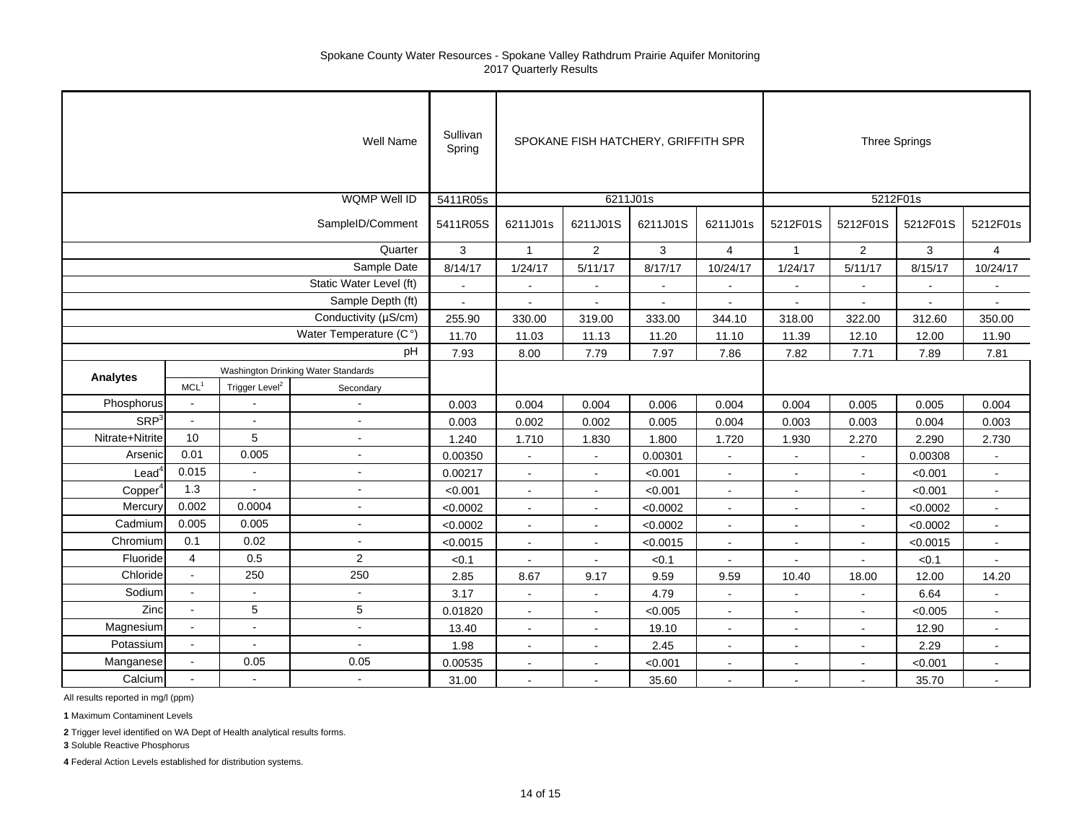|                     | Sullivan<br>Spring                  |                            | SPOKANE FISH HATCHERY, GRIFFITH SPR |               |                | <b>Three Springs</b> |                |                |                |                |                |                |  |
|---------------------|-------------------------------------|----------------------------|-------------------------------------|---------------|----------------|----------------------|----------------|----------------|----------------|----------------|----------------|----------------|--|
|                     |                                     |                            | <b>WQMP Well ID</b>                 | 5411R05s      |                |                      | 6211J01s       |                | 5212F01s       |                |                |                |  |
|                     | 5411R05S                            | 6211J01s                   | 6211J01S                            | 6211J01S      | 6211J01s       | 5212F01S             | 5212F01S       | 5212F01S       | 5212F01s       |                |                |                |  |
|                     | Quarter                             |                            |                                     |               |                | $\overline{2}$       | 3              | 4              | $\mathbf{1}$   | $\overline{a}$ | 3              | $\overline{4}$ |  |
|                     |                                     |                            | Sample Date                         | 8/14/17       | 1/24/17        | 5/11/17              | 8/17/17        | 10/24/17       | 1/24/17        | 5/11/17        | 8/15/17        | 10/24/17       |  |
|                     |                                     |                            | Static Water Level (ft)             | $\sim$        | $\mathbf{r}$   | $\blacksquare$       | $\sim$         |                | $\overline{a}$ |                | $\overline{a}$ |                |  |
|                     |                                     |                            | Sample Depth (ft)                   | ä,            |                |                      | $\overline{a}$ |                |                |                | $\blacksquare$ |                |  |
|                     |                                     |                            | Conductivity (µS/cm)                | 255.90        | 330.00         | 319.00               | 333.00         | 344.10         | 318.00         | 322.00         | 312.60         | 350.00         |  |
|                     | Water Temperature (C°)              |                            |                                     |               | 11.03          | 11.13                | 11.20          | 11.10          | 11.39          | 12.10          | 12.00          | 11.90          |  |
| pH                  |                                     |                            |                                     | 11.70<br>7.93 | 8.00           | 7.79                 | 7.97           | 7.86           | 7.82           | 7.71           | 7.89           | 7.81           |  |
|                     | Washington Drinking Water Standards |                            |                                     |               |                |                      |                |                |                |                |                |                |  |
| <b>Analytes</b>     | MCL <sup>1</sup>                    | Trigger Level <sup>2</sup> | Secondary                           |               |                |                      |                |                |                |                |                |                |  |
| Phosphorus          | $\omega$                            |                            |                                     | 0.003         | 0.004          | 0.004                | 0.006          | 0.004          | 0.004          | 0.005          | 0.005          | 0.004          |  |
| SRP <sup>3</sup>    | $\mathbf{r}$                        | $\mathbf{r}$               | ÷.                                  | 0.003         | 0.002          | 0.002                | 0.005          | 0.004          | 0.003          | 0.003          | 0.004          | 0.003          |  |
| Nitrate+Nitrite     | 10                                  | 5                          | ÷,                                  | 1.240         | 1.710          | 1.830                | 1.800          | 1.720          | 1.930          | 2.270          | 2.290          | 2.730          |  |
| Arsenic             | 0.01                                | 0.005                      | ÷,                                  | 0.00350       | $\sim$         | $\mathbf{r}$         | 0.00301        | $\sim$         | $\blacksquare$ |                | 0.00308        | $\mathbf{r}$   |  |
| Lead <sup>4</sup>   | 0.015                               | $\sim$                     | ÷.                                  | 0.00217       | $\blacksquare$ | $\sim$               | < 0.001        | ä,             | $\sim$         | $\mathbf{r}$   | < 0.001        | $\omega$       |  |
| Copper <sup>4</sup> | 1.3                                 |                            | $\blacksquare$                      | < 0.001       | $\blacksquare$ | $\blacksquare$       | < 0.001        | $\sim$         | $\blacksquare$ | $\blacksquare$ | < 0.001        | $\sim$         |  |
| Mercury             | 0.002                               | 0.0004                     | $\blacksquare$                      | < 0.0002      | $\sim$         | $\sim$               | < 0.0002       | $\blacksquare$ | $\sim$         | $\sim$         | < 0.0002       | $\sim$         |  |
| Cadmium             | 0.005                               | 0.005                      | $\blacksquare$                      | < 0.0002      | $\blacksquare$ | $\mathbf{r}$         | < 0.0002       | ä,             | $\blacksquare$ | $\blacksquare$ | < 0.0002       | $\sim$         |  |
| Chromium            | 0.1                                 | 0.02                       | ÷.                                  | < 0.0015      | $\sim$         | $\sim$               | < 0.0015       | $\sim$         | $\blacksquare$ | $\blacksquare$ | < 0.0015       | $\blacksquare$ |  |
| Fluoride            | $\overline{4}$                      | 0.5                        | $\overline{2}$                      | < 0.1         | $\sim$         | $\sim$               | < 0.1          | $\overline{a}$ | $\overline{a}$ |                | < 0.1          | $\sim$         |  |
| Chloride            | $\sim$                              | 250                        | 250                                 | 2.85          | 8.67           | 9.17                 | 9.59           | 9.59           | 10.40          | 18.00          | 12.00          | 14.20          |  |
| Sodium              | $\sim$                              | $\sim$                     | $\blacksquare$                      | 3.17          | $\blacksquare$ | $\blacksquare$       | 4.79           | $\sim$         | $\blacksquare$ | $\blacksquare$ | 6.64           |                |  |
| Zinc                | $\omega$                            | 5                          | 5                                   | 0.01820       | $\sim$         | $\sim$               | < 0.005        | $\sim$         | $\blacksquare$ | $\sim$         | < 0.005        | $\sim$         |  |
| Magnesium           | $\bullet$                           | $\blacksquare$             | ÷,                                  | 13.40         | $\blacksquare$ | $\sim$               | 19.10          | $\blacksquare$ | $\blacksquare$ |                | 12.90          | $\sim$         |  |
| Potassium           | $\mathbf{r}$                        | $\sim$                     | ÷.                                  | 1.98          |                | $\blacksquare$       | 2.45           | $\blacksquare$ |                |                | 2.29           |                |  |
| Manganese           | $\sim$                              | 0.05                       | 0.05                                | 0.00535       | $\mathbf{r}$   | $\mathbf{r}$         | < 0.001        | ä,             | $\sim$         | $\mathbf{r}$   | < 0.001        | $\sim$         |  |
| Calcium             |                                     | $\sim$                     | $\blacksquare$                      | 31.00         |                |                      | 35.60          | $\overline{a}$ | $\sim$         |                | 35.70          |                |  |

All results reported in mg/l (ppm)

**1** Maximum Contaminent Levels

**2** Trigger level identified on WA Dept of Health analytical results forms.

**3** Soluble Reactive Phosphorus